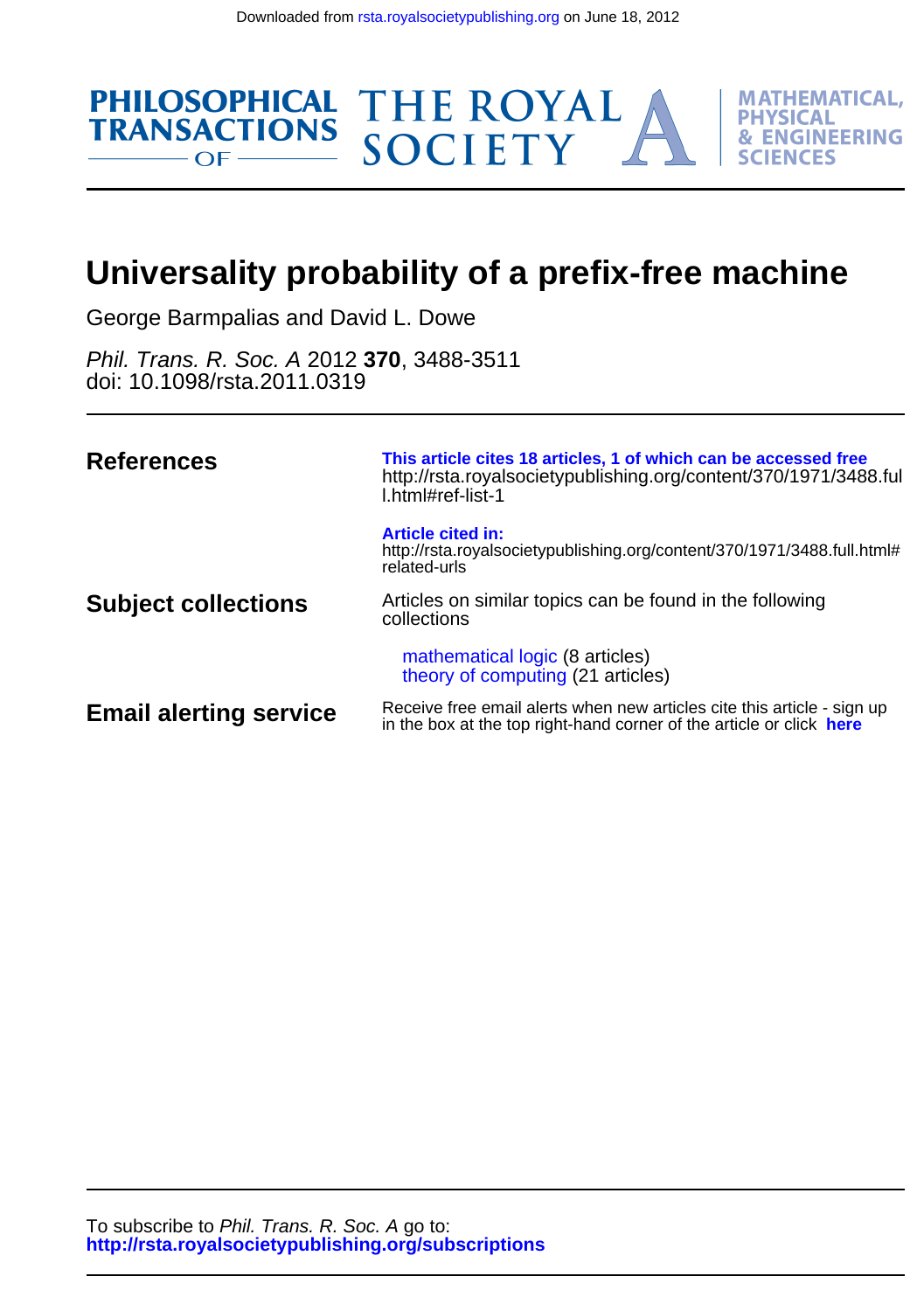

# **Universality probability of a prefix-free machine**

George Barmpalias and David L. Dowe

doi: 10.1098/rsta.2011.0319 Phil. Trans. R. Soc. A 2012 **370**, 3488-3511

| <b>References</b>             | This article cites 18 articles, 1 of which can be accessed free<br>http://rsta.royalsocietypublishing.org/content/370/1971/3488.ful<br>Lhtml#ref-list-1 |
|-------------------------------|---------------------------------------------------------------------------------------------------------------------------------------------------------|
|                               | <b>Article cited in:</b><br>http://rsta.royalsocietypublishing.org/content/370/1971/3488.full.html#<br>related-urls                                     |
| <b>Subject collections</b>    | Articles on similar topics can be found in the following<br>collections                                                                                 |
|                               | mathematical logic (8 articles)<br>theory of computing (21 articles)                                                                                    |
| <b>Email alerting service</b> | Receive free email alerts when new articles cite this article - sign up<br>in the box at the top right-hand corner of the article or click here         |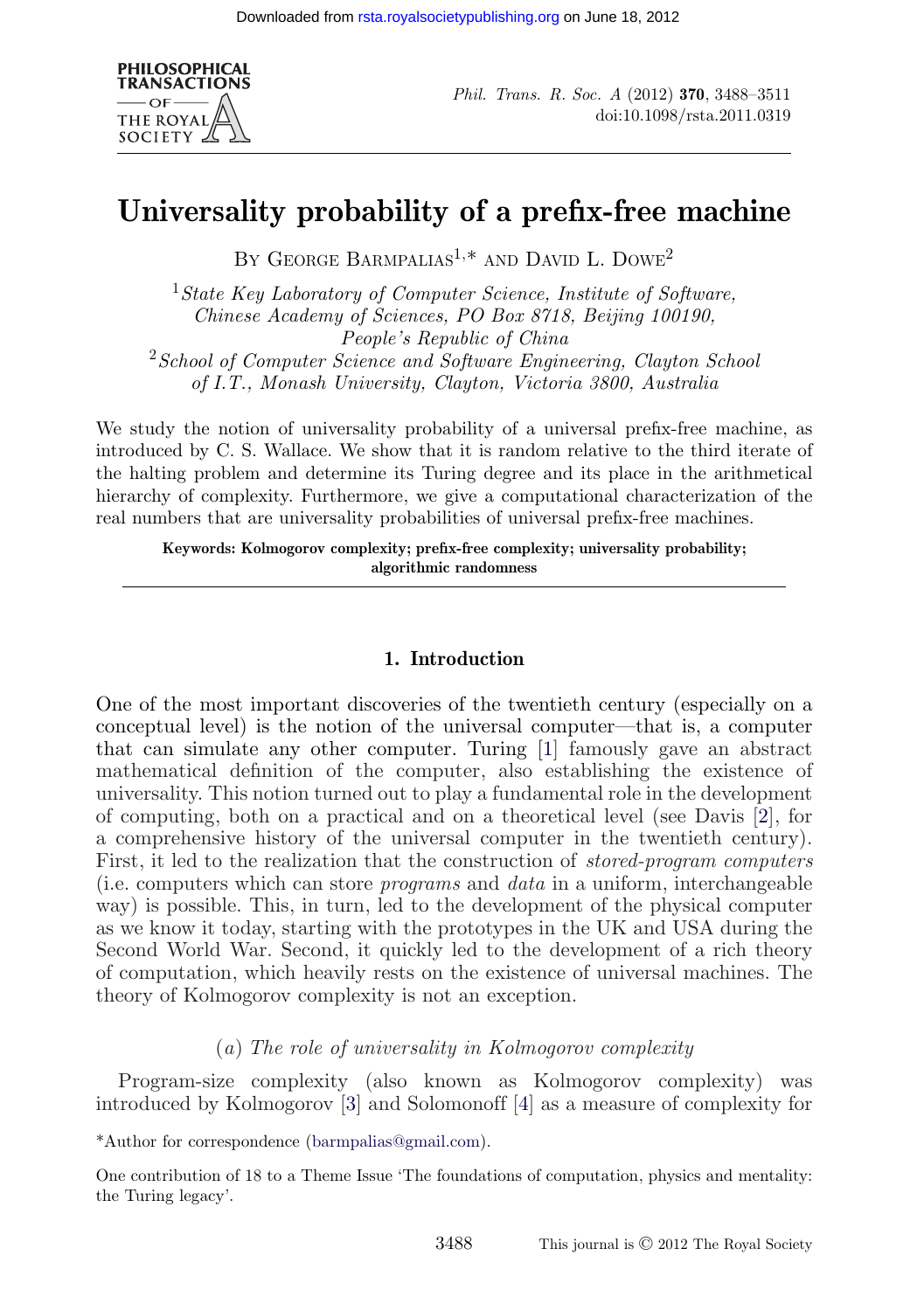

*Phil. Trans. R. Soc. A* (2012) **370**, 3488–3511 doi:10.1098/rsta.2011.0319

# **Universality probability of a prefix-free machine**

BY GEORGE BARMPALIAS<sup>1,\*</sup> AND DAVID L. DOWE<sup>2</sup>

<sup>1</sup>*State Key Laboratory of Computer Science, Institute of Software, Chinese Academy of Sciences, PO Box 8718, Beijing 100190, People's Republic of China* <sup>2</sup>*School of Computer Science and Software Engineering, Clayton School of I.T., Monash University, Clayton, Victoria 3800, Australia*

We study the notion of universality probability of a universal prefix-free machine, as introduced by C. S. Wallace. We show that it is random relative to the third iterate of the halting problem and determine its Turing degree and its place in the arithmetical hierarchy of complexity. Furthermore, we give a computational characterization of the real numbers that are universality probabilities of universal prefix-free machines.

**Keywords: Kolmogorov complexity; prefix-free complexity; universality probability; algorithmic randomness**

# **1. Introduction**

One of the most important discoveries of the twentieth century (especially on a conceptual level) is the notion of the universal computer—that is, a computer that can simulate any other computer. Turing [\[1\]](#page-23-0) famously gave an abstract mathematical definition of the computer, also establishing the existence of universality. This notion turned out to play a fundamental role in the development of computing, both on a practical and on a theoretical level (see Davis [\[2\]](#page-23-0), for a comprehensive history of the universal computer in the twentieth century). First, it led to the realization that the construction of *stored-program computers* (i.e. computers which can store *programs* and *data* in a uniform, interchangeable way) is possible. This, in turn, led to the development of the physical computer as we know it today, starting with the prototypes in the UK and USA during the Second World War. Second, it quickly led to the development of a rich theory of computation, which heavily rests on the existence of universal machines. The theory of Kolmogorov complexity is not an exception.

# (*a*) *The role of universality in Kolmogorov complexity*

Program-size complexity (also known as Kolmogorov complexity) was introduced by Kolmogorov [\[3\]](#page-23-0) and Solomonoff [\[4\]](#page-23-0) as a measure of complexity for

\*Author for correspondence [\(barmpalias@gmail.com\)](mailto:barmpalias@gmail.com).

One contribution of 18 to a Theme Issue 'The foundations of computation, physics and mentality: the Turing legacy'.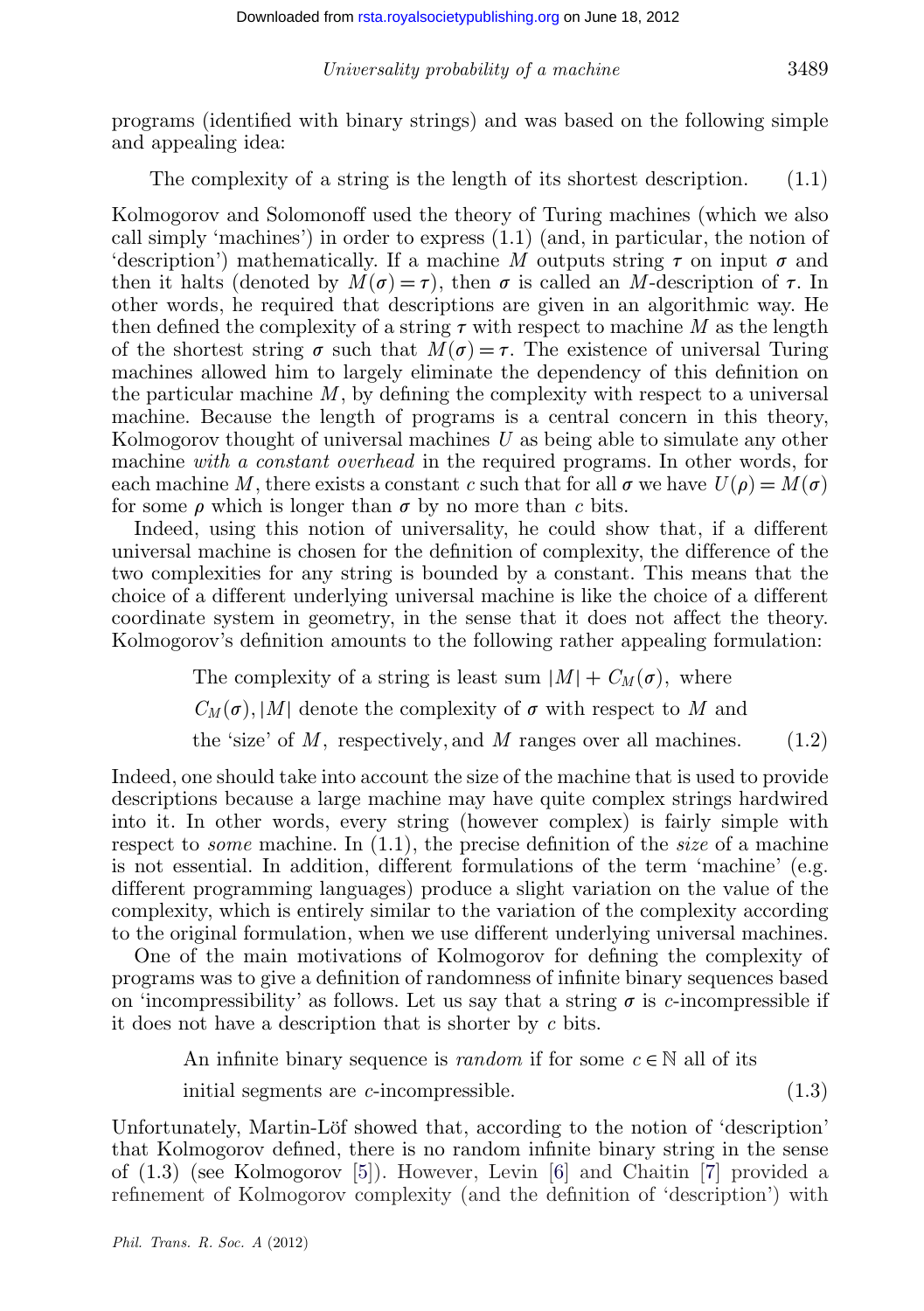programs (identified with binary strings) and was based on the following simple and appealing idea:

The complexity of a string is the length of its shortest description.  $(1.1)$ 

Kolmogorov and Solomonoff used the theory of Turing machines (which we also call simply 'machines') in order to express (1.1) (and, in particular, the notion of 'description') mathematically. If a machine M outputs string  $\tau$  on input  $\sigma$  and then it halts (denoted by  $M(\sigma) = \tau$ ), then  $\sigma$  is called an *M*-description of  $\tau$ . In other words, he required that descriptions are given in an algorithmic way. He then defined the complexity of a string  $\tau$  with respect to machine *M* as the length of the shortest string  $\sigma$  such that  $M(\sigma) = \tau$ . The existence of universal Turing machines allowed him to largely eliminate the dependency of this definition on the particular machine *M*, by defining the complexity with respect to a universal machine. Because the length of programs is a central concern in this theory, Kolmogorov thought of universal machines *U* as being able to simulate any other machine *with a constant overhead* in the required programs. In other words, for each machine M, there exists a constant c such that for all  $\sigma$  we have  $U(\rho) = M(\sigma)$ for some  $\rho$  which is longer than  $\sigma$  by no more than c bits.

Indeed, using this notion of universality, he could show that, if a different universal machine is chosen for the definition of complexity, the difference of the two complexities for any string is bounded by a constant. This means that the choice of a different underlying universal machine is like the choice of a different coordinate system in geometry, in the sense that it does not affect the theory. Kolmogorov's definition amounts to the following rather appealing formulation:

The complexity of a string is least sum  $|M| + C_M(\sigma)$ , where

 $C_M(\sigma)$ , |*M*| denote the complexity of  $\sigma$  with respect to *M* and

the 'size' of  $M$ , respectively, and  $M$  ranges over all machines. (1.2)

Indeed, one should take into account the size of the machine that is used to provide descriptions because a large machine may have quite complex strings hardwired into it. In other words, every string (however complex) is fairly simple with respect to *some* machine. In (1.1), the precise definition of the *size* of a machine is not essential. In addition, different formulations of the term 'machine' (e.g. different programming languages) produce a slight variation on the value of the complexity, which is entirely similar to the variation of the complexity according to the original formulation, when we use different underlying universal machines.

One of the main motivations of Kolmogorov for defining the complexity of programs was to give a definition of randomness of infinite binary sequences based on 'incompressibility' as follows. Let us say that a string  $\sigma$  is *c*-incompressible if it does not have a description that is shorter by *c* bits.

An infinite binary sequence is *random* if for some  $c \in \mathbb{N}$  all of its

initial segments are *c*-incompressible. (1.3)

Unfortunately, Martin-Löf showed that, according to the notion of 'description' that Kolmogorov defined, there is no random infinite binary string in the sense of (1.3) (see Kolmogorov [\[5\]](#page-23-0)). However, Levin [\[6\]](#page-23-0) and Chaitin [\[7\]](#page-23-0) provided a refinement of Kolmogorov complexity (and the definition of 'description') with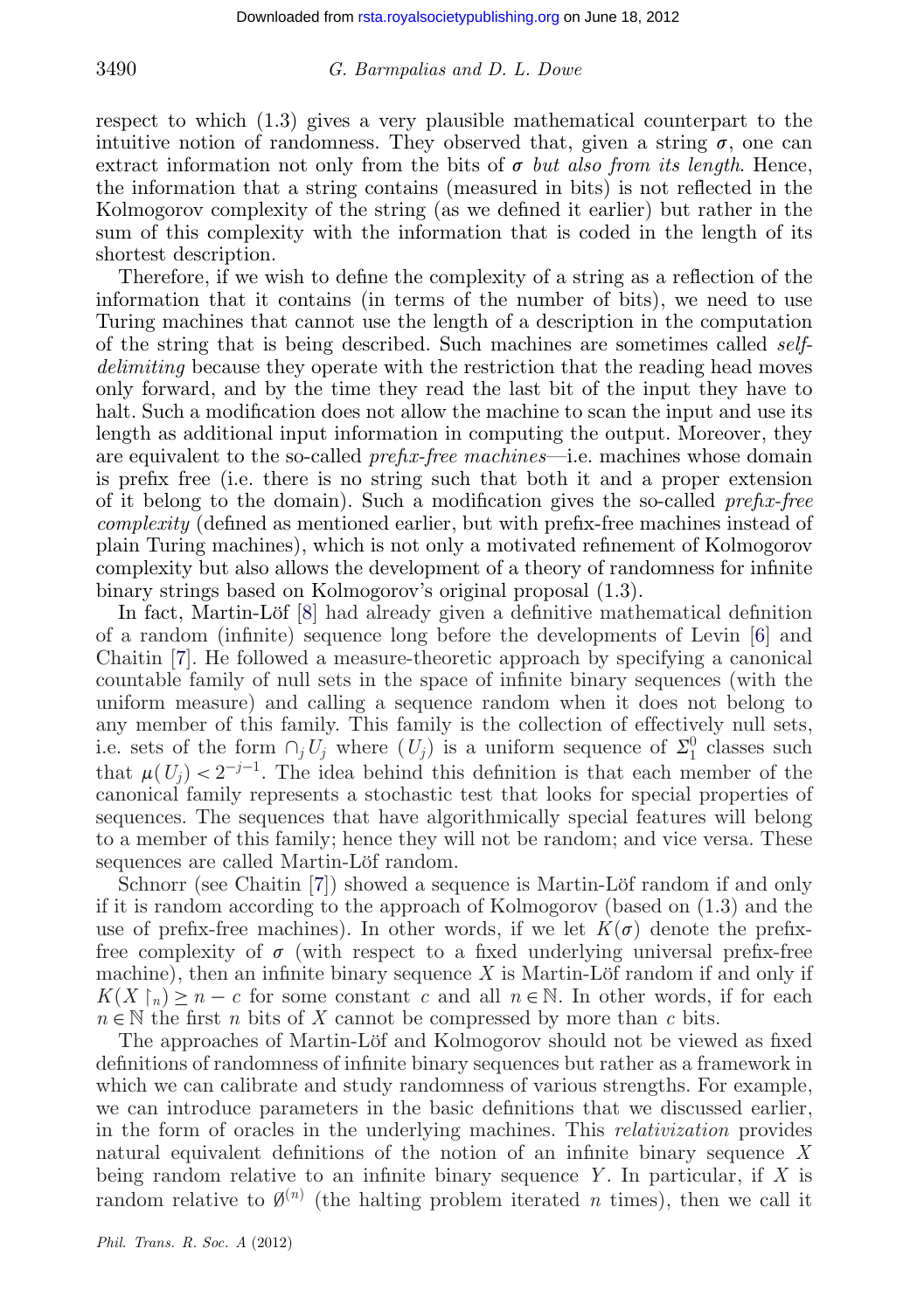respect to which (1.3) gives a very plausible mathematical counterpart to the intuitive notion of randomness. They observed that, given a string  $\sigma$ , one can extract information not only from the bits of  $\sigma$  *but also from its length*. Hence, the information that a string contains (measured in bits) is not reflected in the Kolmogorov complexity of the string (as we defined it earlier) but rather in the sum of this complexity with the information that is coded in the length of its shortest description.

Therefore, if we wish to define the complexity of a string as a reflection of the information that it contains (in terms of the number of bits), we need to use Turing machines that cannot use the length of a description in the computation of the string that is being described. Such machines are sometimes called *selfdelimiting* because they operate with the restriction that the reading head moves only forward, and by the time they read the last bit of the input they have to halt. Such a modification does not allow the machine to scan the input and use its length as additional input information in computing the output. Moreover, they are equivalent to the so-called *prefix-free machines*—i.e. machines whose domain is prefix free (i.e. there is no string such that both it and a proper extension of it belong to the domain). Such a modification gives the so-called *prefix-free complexity* (defined as mentioned earlier, but with prefix-free machines instead of plain Turing machines), which is not only a motivated refinement of Kolmogorov complexity but also allows the development of a theory of randomness for infinite binary strings based on Kolmogorov's original proposal (1.3).

In fact, Martin-Löf [\[8\]](#page-23-0) had already given a definitive mathematical definition of a random (infinite) sequence long before the developments of Levin [\[6\]](#page-23-0) and Chaitin [\[7\]](#page-23-0). He followed a measure-theoretic approach by specifying a canonical countable family of null sets in the space of infinite binary sequences (with the uniform measure) and calling a sequence random when it does not belong to any member of this family. This family is the collection of effectively null sets, i.e. sets of the form  $\cap_j U_j$  where  $(U_j)$  is a uniform sequence of  $\Sigma_1^0$  classes such that  $\mu(U_i) < 2^{-j-1}$ . The idea behind this definition is that each member of the canonical family represents a stochastic test that looks for special properties of sequences. The sequences that have algorithmically special features will belong to a member of this family; hence they will not be random; and vice versa. These sequences are called Martin-Löf random.

Schnorr (see Chaitin [\[7\]](#page-23-0)) showed a sequence is Martin-Löf random if and only if it is random according to the approach of Kolmogorov (based on (1.3) and the use of prefix-free machines). In other words, if we let  $K(\sigma)$  denote the prefixfree complexity of  $\sigma$  (with respect to a fixed underlying universal prefix-free machine), then an infinite binary sequence *X* is Martin-Löf random if and only if  $K(X \upharpoonright n) \geq n - c$  for some constant *c* and all  $n \in \mathbb{N}$ . In other words, if for each  $n \in \mathbb{N}$  the first *n* bits of *X* cannot be compressed by more than *c* bits.

The approaches of Martin-Löf and Kolmogorov should not be viewed as fixed definitions of randomness of infinite binary sequences but rather as a framework in which we can calibrate and study randomness of various strengths. For example, we can introduce parameters in the basic definitions that we discussed earlier, in the form of oracles in the underlying machines. This *relativization* provides natural equivalent definitions of the notion of an infinite binary sequence *X* being random relative to an infinite binary sequence *Y* . In particular, if *X* is random relative to  $\emptyset^{(n)}$  (the halting problem iterated *n* times), then we call it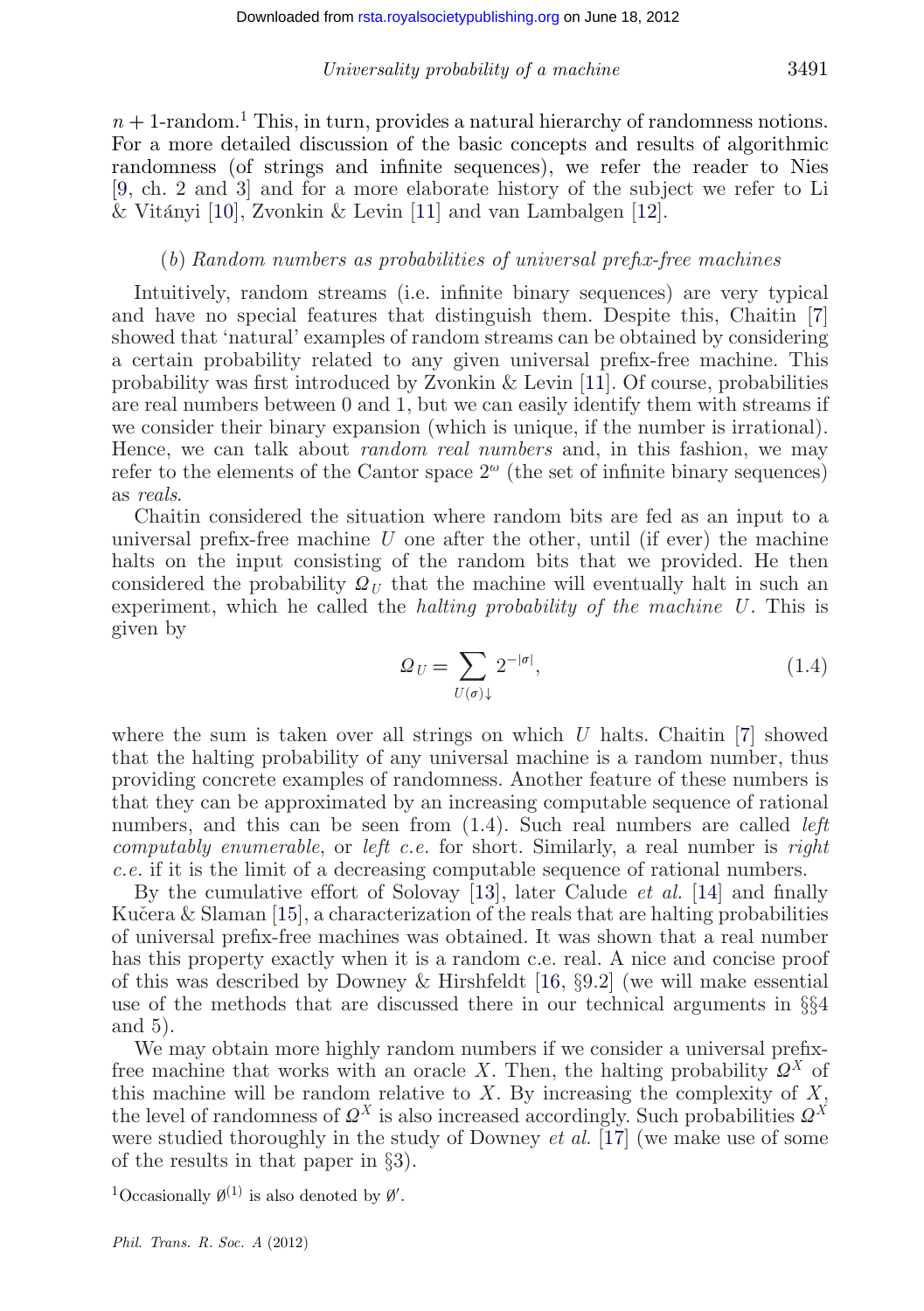$n+1$ -random.<sup>1</sup> This, in turn, provides a natural hierarchy of randomness notions. For a more detailed discussion of the basic concepts and results of algorithmic randomness (of strings and infinite sequences), we refer the reader to Nies [\[9,](#page-23-0) ch. 2 and 3] and for a more elaborate history of the subject we refer to Li & Vitányi [\[10\]](#page-23-0), Zvonkin & Levin [\[11\]](#page-23-0) and van Lambalgen [\[12\]](#page-23-0).

# (*b*) *Random numbers as probabilities of universal prefix-free machines*

Intuitively, random streams (i.e. infinite binary sequences) are very typical and have no special features that distinguish them. Despite this, Chaitin [\[7\]](#page-23-0) showed that 'natural' examples of random streams can be obtained by considering a certain probability related to any given universal prefix-free machine. This probability was first introduced by Zvonkin & Levin [\[11\]](#page-23-0). Of course, probabilities are real numbers between 0 and 1, but we can easily identify them with streams if we consider their binary expansion (which is unique, if the number is irrational). Hence, we can talk about *random real numbers* and, in this fashion, we may refer to the elements of the Cantor space  $2^{\omega}$  (the set of infinite binary sequences) as *reals*.

Chaitin considered the situation where random bits are fed as an input to a universal prefix-free machine *U* one after the other, until (if ever) the machine halts on the input consisting of the random bits that we provided. He then considered the probability  $\mathcal{Q}_U$  that the machine will eventually halt in such an experiment, which he called the *halting probability of the machine U*. This is given by

$$
\Omega_U = \sum_{U(\sigma)\downarrow} 2^{-|\sigma|},\tag{1.4}
$$

where the sum is taken over all strings on which *U* halts. Chaitin [\[7\]](#page-23-0) showed that the halting probability of any universal machine is a random number, thus providing concrete examples of randomness. Another feature of these numbers is that they can be approximated by an increasing computable sequence of rational numbers, and this can be seen from (1.4). Such real numbers are called *left computably enumerable*, or *left c.e.* for short. Similarly, a real number is *right c.e.* if it is the limit of a decreasing computable sequence of rational numbers.

By the cumulative effort of Solovay [\[13\]](#page-24-0), later Calude *et al.* [\[14\]](#page-24-0) and finally Kučera  $\&$  Slaman [\[15\]](#page-24-0), a characterization of the reals that are halting probabilities of universal prefix-free machines was obtained. It was shown that a real number has this property exactly when it is a random c.e. real. A nice and concise proof of this was described by Downey & Hirshfeldt [\[16,](#page-24-0)  $\S$ 9.2] (we will make essential use of the methods that are discussed there in our technical arguments in §§4 and 5).

We may obtain more highly random numbers if we consider a universal prefixfree machine that works with an oracle X. Then, the halting probability  $Q^X$  of this machine will be random relative to *X*. By increasing the complexity of *X*, the level of randomness of  $\Omega^X$  is also increased accordingly. Such probabilities  $\Omega^X$ were studied thoroughly in the study of Downey *et al.* [\[17\]](#page-24-0) (we make use of some of the results in that paper in §3).

<sup>1</sup>Occasionally  $\emptyset^{(1)}$  is also denoted by  $\emptyset'$ .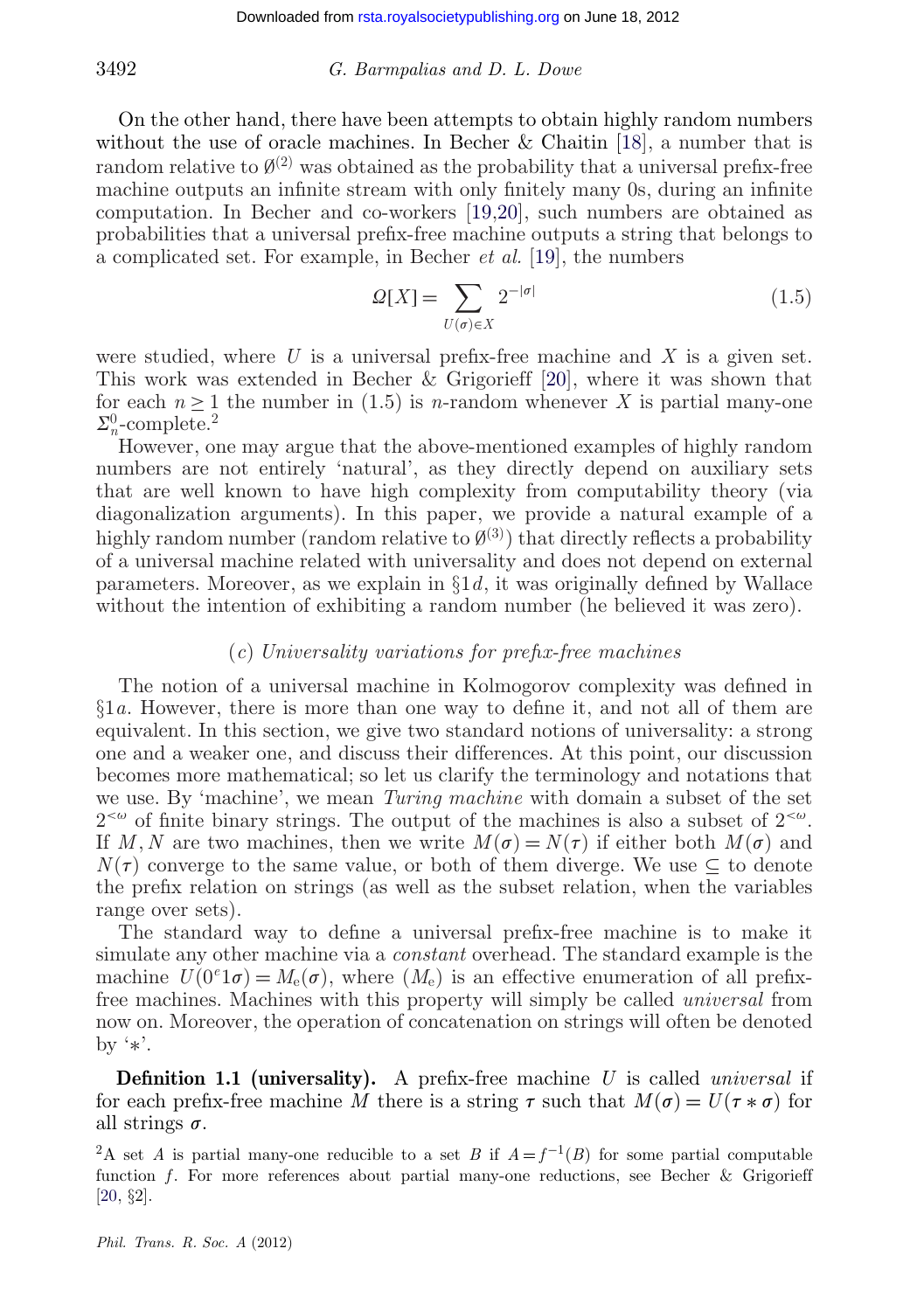On the other hand, there have been attempts to obtain highly random numbers without the use of oracle machines. In Becher & Chaitin [\[18\]](#page-24-0), a number that is random relative to  $\emptyset^{(2)}$  was obtained as the probability that a universal prefix-free machine outputs an infinite stream with only finitely many 0s, during an infinite computation. In Becher and co-workers [\[19,20\]](#page-24-0), such numbers are obtained as probabilities that a universal prefix-free machine outputs a string that belongs to a complicated set. For example, in Becher *et al.* [\[19\]](#page-24-0), the numbers

$$
\Omega[X] = \sum_{U(\sigma) \in X} 2^{-|\sigma|} \tag{1.5}
$$

were studied, where *U* is a universal prefix-free machine and *X* is a given set. This work was extended in Becher & Grigorieff [\[20\]](#page-24-0), where it was shown that for each  $n \geq 1$  the number in (1.5) is *n*-random whenever X is partial many-one  $\Sigma_n^0$ -complete.<sup>2</sup>

However, one may argue that the above-mentioned examples of highly random numbers are not entirely 'natural', as they directly depend on auxiliary sets that are well known to have high complexity from computability theory (via diagonalization arguments). In this paper, we provide a natural example of a highly random number (random relative to  $\mathcal{O}^{(3)}$ ) that directly reflects a probability of a universal machine related with universality and does not depend on external parameters. Moreover, as we explain in §1*d*, it was originally defined by Wallace without the intention of exhibiting a random number (he believed it was zero).

#### (*c*) *Universality variations for prefix-free machines*

The notion of a universal machine in Kolmogorov complexity was defined in §1*a*. However, there is more than one way to define it, and not all of them are equivalent. In this section, we give two standard notions of universality: a strong one and a weaker one, and discuss their differences. At this point, our discussion becomes more mathematical; so let us clarify the terminology and notations that we use. By 'machine', we mean *Turing machine* with domain a subset of the set  $2^{<\omega}$  of finite binary strings. The output of the machines is also a subset of  $2^{<\omega}$ . If *M*, *N* are two machines, then we write  $M(\sigma) = N(\tau)$  if either both  $M(\sigma)$  and  $N(\tau)$  converge to the same value, or both of them diverge. We use  $\subset$  to denote the prefix relation on strings (as well as the subset relation, when the variables range over sets).

The standard way to define a universal prefix-free machine is to make it simulate any other machine via a *constant* overhead. The standard example is the machine  $U(0^e1\sigma) = M_e(\sigma)$ , where  $(M_e)$  is an effective enumeration of all prefixfree machines. Machines with this property will simply be called *universal* from now on. Moreover, the operation of concatenation on strings will often be denoted by '∗'.

**Definition 1.1 (universality).** A prefix-free machine *U* is called *universal* if for each prefix-free machine *M* there is a string  $\tau$  such that  $M(\sigma) = U(\tau * \sigma)$  for all strings  $\sigma$ .

<sup>&</sup>lt;sup>2</sup>A set *A* is partial many-one reducible to a set *B* if  $A = f^{-1}(B)$  for some partial computable function *f*. For more references about partial many-one reductions, see Becher & Grigorieff [\[20,](#page-24-0) §2].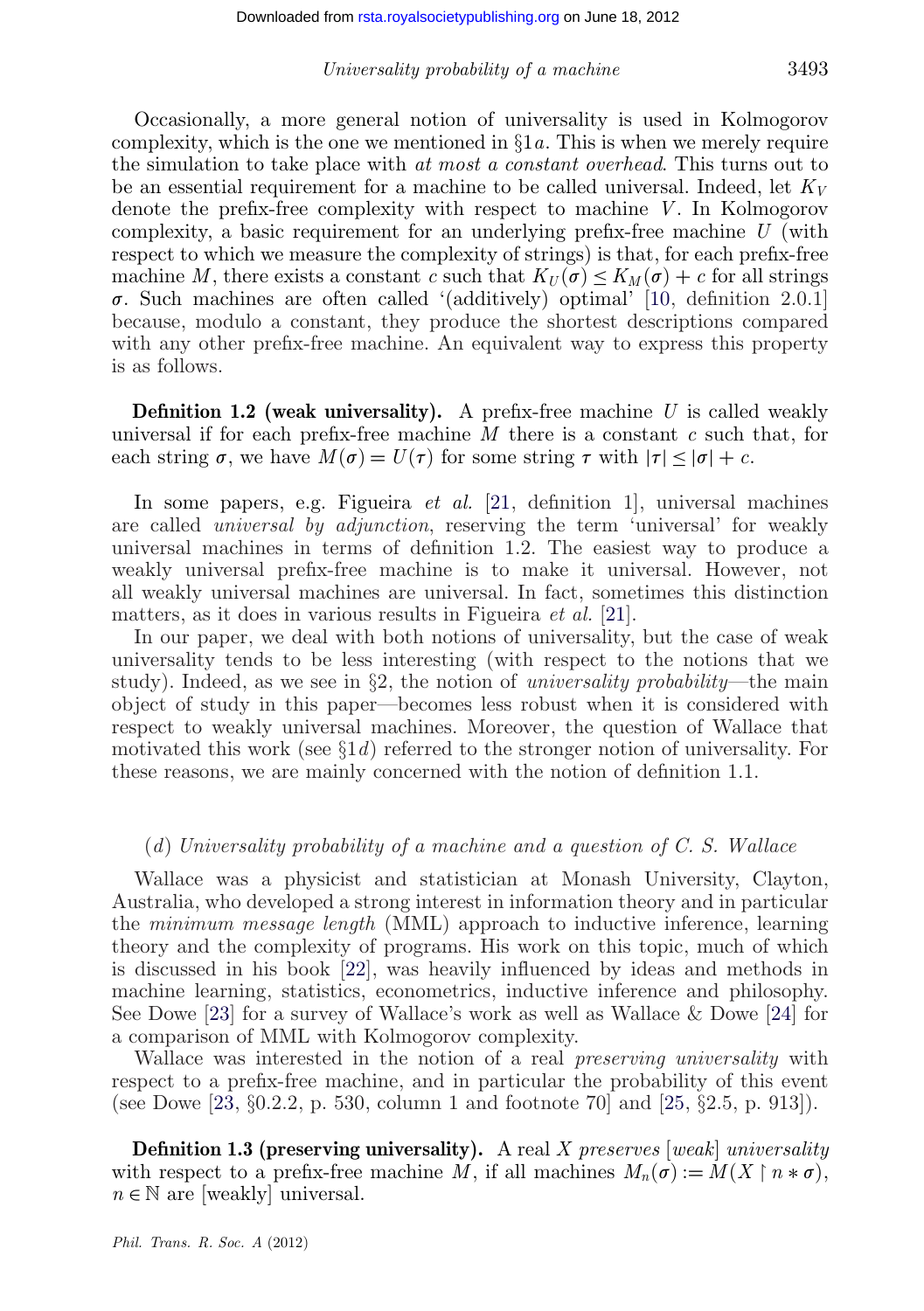Occasionally, a more general notion of universality is used in Kolmogorov complexity, which is the one we mentioned in  $\S 1a$ . This is when we merely require the simulation to take place with *at most a constant overhead*. This turns out to be an essential requirement for a machine to be called universal. Indeed, let *KV* denote the prefix-free complexity with respect to machine *V*. In Kolmogorov complexity, a basic requirement for an underlying prefix-free machine *U* (with respect to which we measure the complexity of strings) is that, for each prefix-free machine *M*, there exists a constant *c* such that  $K_U(\sigma) \leq K_M(\sigma) + c$  for all strings  $\sigma$ . Such machines are often called '(additively) optimal' [\[10,](#page-23-0) definition 2.0.1] because, modulo a constant, they produce the shortest descriptions compared with any other prefix-free machine. An equivalent way to express this property is as follows.

**Definition 1.2 (weak universality).** A prefix-free machine U is called weakly universal if for each prefix-free machine *M* there is a constant *c* such that, for each string  $\sigma$ , we have  $M(\sigma) = U(\tau)$  for some string  $\tau$  with  $|\tau| \leq |\sigma| + c$ .

In some papers, e.g. Figueira *et al.* [\[21,](#page-24-0) definition 1], universal machines are called *universal by adjunction*, reserving the term 'universal' for weakly universal machines in terms of definition 1.2. The easiest way to produce a weakly universal prefix-free machine is to make it universal. However, not all weakly universal machines are universal. In fact, sometimes this distinction matters, as it does in various results in Figueira *et al.* [\[21\]](#page-24-0).

In our paper, we deal with both notions of universality, but the case of weak universality tends to be less interesting (with respect to the notions that we study). Indeed, as we see in §2, the notion of *universality probability*—the main object of study in this paper—becomes less robust when it is considered with respect to weakly universal machines. Moreover, the question of Wallace that motivated this work (see §1*d*) referred to the stronger notion of universality. For these reasons, we are mainly concerned with the notion of definition 1.1.

#### (*d*) *Universality probability of a machine and a question of C. S. Wallace*

Wallace was a physicist and statistician at Monash University, Clayton, Australia, who developed a strong interest in information theory and in particular the *minimum message length* (MML) approach to inductive inference, learning theory and the complexity of programs. His work on this topic, much of which is discussed in his book [\[22\]](#page-24-0), was heavily influenced by ideas and methods in machine learning, statistics, econometrics, inductive inference and philosophy. See Dowe [\[23\]](#page-24-0) for a survey of Wallace's work as well as Wallace & Dowe [\[24\]](#page-24-0) for a comparison of MML with Kolmogorov complexity.

Wallace was interested in the notion of a real *preserving universality* with respect to a prefix-free machine, and in particular the probability of this event (see Dowe [\[23,](#page-24-0)  $\S 0.2.2$ , p. 530, column 1 and footnote 70 and [\[25,](#page-24-0)  $\S 2.5$ , p. 913]).

**Definition 1.3 (preserving universality).** A real *X preserves* [*weak*] *universality* with respect to a prefix-free machine *M*, if all machines  $M_n(\sigma) := M(X \upharpoonright n * \sigma)$ ,  $n \in \mathbb{N}$  are [weakly] universal.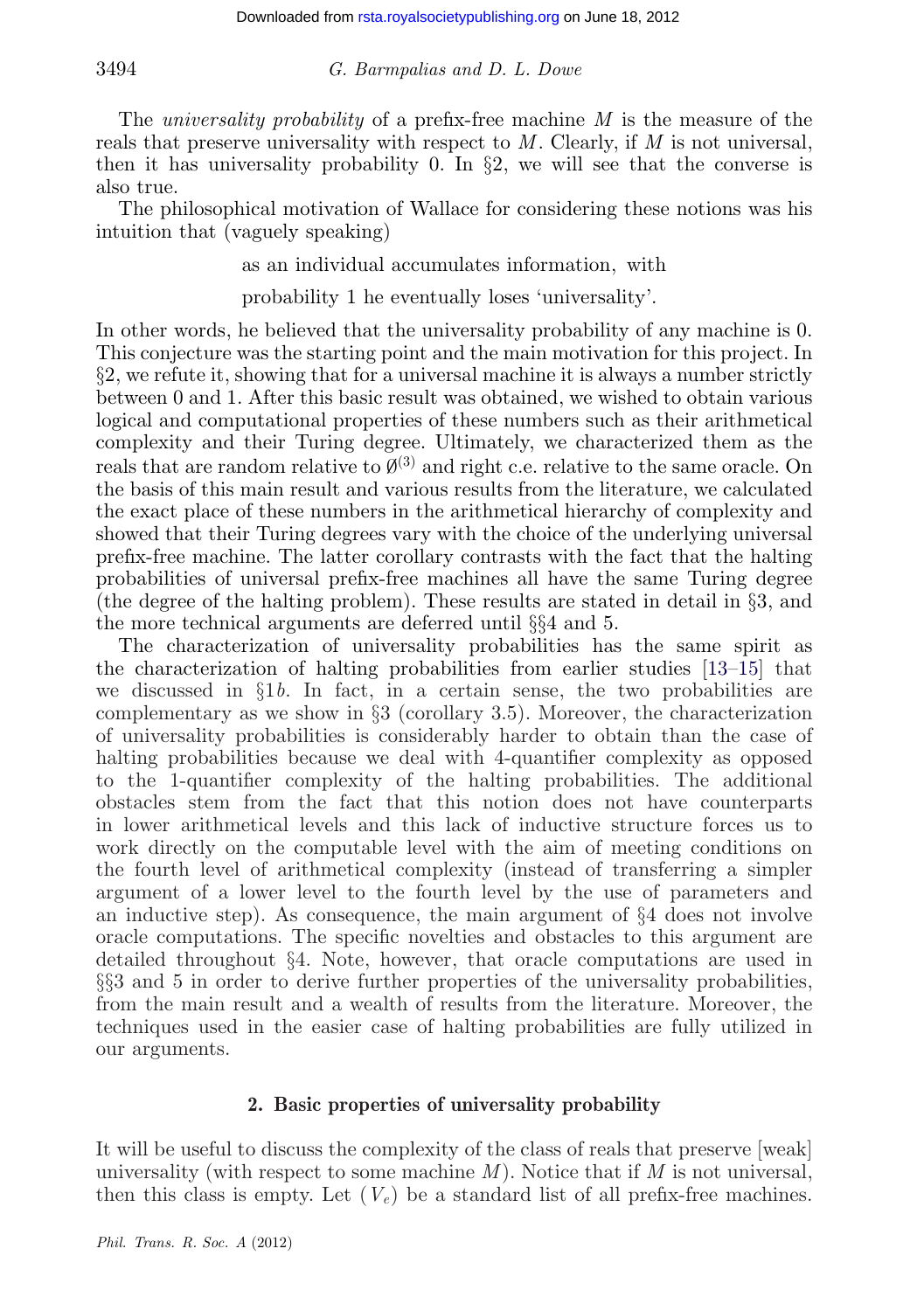The *universality probability* of a prefix-free machine *M* is the measure of the reals that preserve universality with respect to *M*. Clearly, if *M* is not universal, then it has universality probability 0. In  $\S$ 2, we will see that the converse is also true.

The philosophical motivation of Wallace for considering these notions was his intuition that (vaguely speaking)

as an individual accumulates information, with

probability 1 he eventually loses 'universality'.

In other words, he believed that the universality probability of any machine is 0. This conjecture was the starting point and the main motivation for this project. In §2, we refute it, showing that for a universal machine it is always a number strictly between 0 and 1. After this basic result was obtained, we wished to obtain various logical and computational properties of these numbers such as their arithmetical complexity and their Turing degree. Ultimately, we characterized them as the reals that are random relative to  $\mathcal{O}^{(3)}$  and right c.e. relative to the same oracle. On the basis of this main result and various results from the literature, we calculated the exact place of these numbers in the arithmetical hierarchy of complexity and showed that their Turing degrees vary with the choice of the underlying universal prefix-free machine. The latter corollary contrasts with the fact that the halting probabilities of universal prefix-free machines all have the same Turing degree (the degree of the halting problem). These results are stated in detail in §3, and the more technical arguments are deferred until §§4 and 5.

The characterization of universality probabilities has the same spirit as the characterization of halting probabilities from earlier studies [\[13–15\]](#page-24-0) that we discussed in §1*b*. In fact, in a certain sense, the two probabilities are complementary as we show in §3 (corollary 3.5). Moreover, the characterization of universality probabilities is considerably harder to obtain than the case of halting probabilities because we deal with 4-quantifier complexity as opposed to the 1-quantifier complexity of the halting probabilities. The additional obstacles stem from the fact that this notion does not have counterparts in lower arithmetical levels and this lack of inductive structure forces us to work directly on the computable level with the aim of meeting conditions on the fourth level of arithmetical complexity (instead of transferring a simpler argument of a lower level to the fourth level by the use of parameters and an inductive step). As consequence, the main argument of §4 does not involve oracle computations. The specific novelties and obstacles to this argument are detailed throughout §4. Note, however, that oracle computations are used in §§3 and 5 in order to derive further properties of the universality probabilities, from the main result and a wealth of results from the literature. Moreover, the techniques used in the easier case of halting probabilities are fully utilized in our arguments.

#### **2. Basic properties of universality probability**

It will be useful to discuss the complexity of the class of reals that preserve [weak] universality (with respect to some machine *M*). Notice that if *M* is not universal, then this class is empty. Let  $(V_e)$  be a standard list of all prefix-free machines.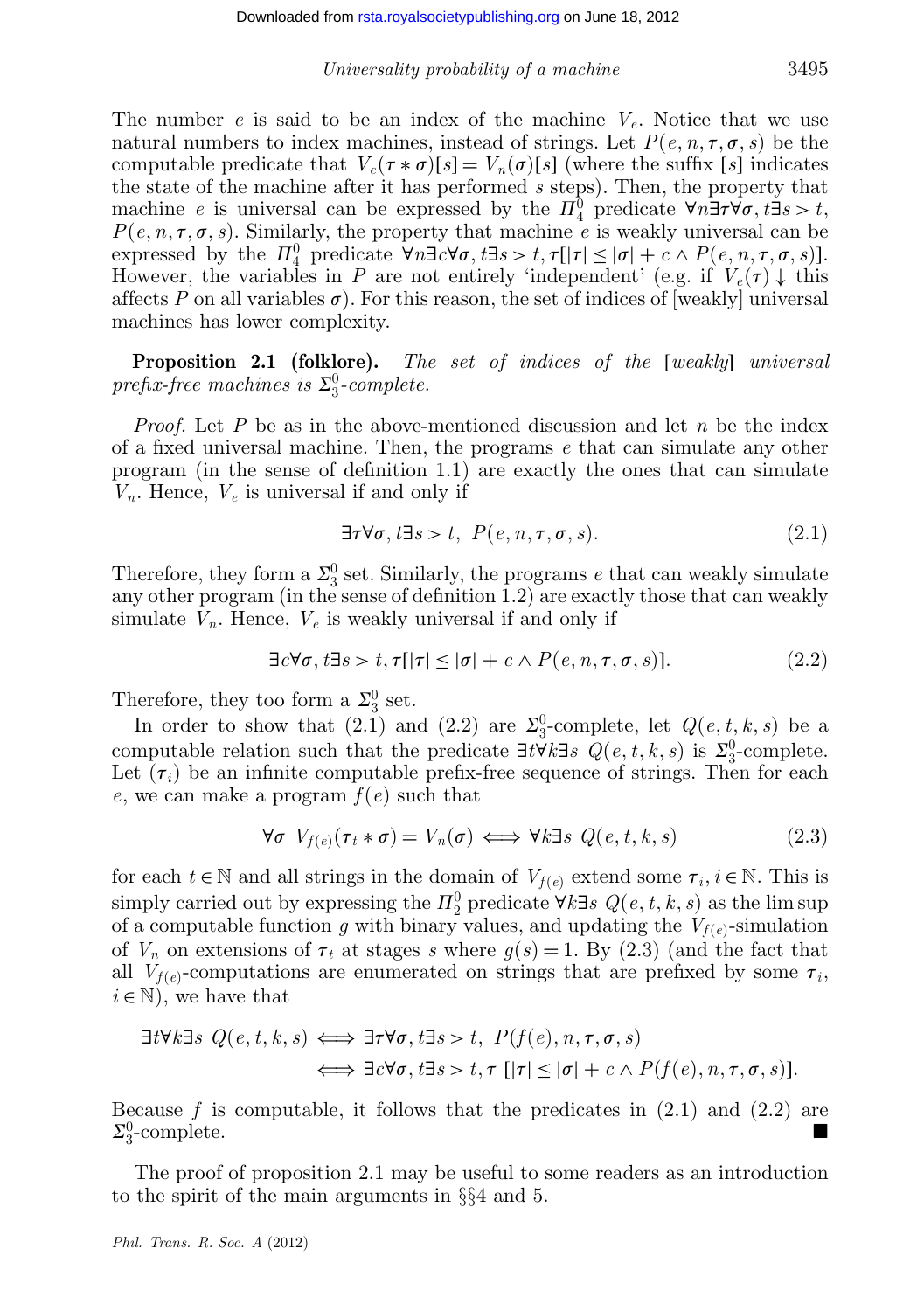The number *e* is said to be an index of the machine *Ve*. Notice that we use natural numbers to index machines, instead of strings. Let  $P(e, n, \tau, \sigma, s)$  be the computable predicate that  $V_e(\tau * \sigma)[s] = V_n(\sigma)[s]$  (where the suffix [*s*] indicates the state of the machine after it has performed *s* steps). Then, the property that machine *e* is universal can be expressed by the  $\Pi_4^0$  predicate  $\forall n \exists \tau \forall \sigma, t \exists s > t$ ,  $P(e, n, \tau, \sigma, s)$ . Similarly, the property that machine *e* is weakly universal can be expressed by the  $\Pi_4^0$  predicate  $\forall n \exists c \forall \sigma, t \exists s > t, \tau[|\tau| \leq |\sigma| + c \wedge P(e, n, \tau, \sigma, s)].$ However, the variables in *P* are not entirely 'independent' (e.g. if  $V_e(\tau) \downarrow$  this affects P on all variables  $\sigma$ ). For this reason, the set of indices of [weakly] universal machines has lower complexity.

**Proposition 2.1 (folklore).** *The set of indices of the* [*weakly*] *universal*  $\emph{prefix-free machines is $\Sigma^0_3$-complete.}$ 

*Proof.* Let *P* be as in the above-mentioned discussion and let *n* be the index of a fixed universal machine. Then, the programs *e* that can simulate any other program (in the sense of definition 1.1) are exactly the ones that can simulate *Vn*. Hence, *Ve* is universal if and only if

$$
\exists \tau \forall \sigma, t \exists s > t, \ P(e, n, \tau, \sigma, s). \tag{2.1}
$$

Therefore, they form a  $\Sigma_3^0$  set. Similarly, the programs *e* that can weakly simulate any other program (in the sense of definition 1.2) are exactly those that can weakly simulate  $V_n$ . Hence,  $V_e$  is weakly universal if and only if

$$
\exists c \forall \sigma, t \exists s > t, \tau[|\tau| \le |\sigma| + c \land P(e, n, \tau, \sigma, s)]. \tag{2.2}
$$

Therefore, they too form a  $\Sigma_3^0$  set.

In order to show that (2.1) and (2.2) are  $\Sigma_3^0$ -complete, let  $Q(e, t, k, s)$  be a computable relation such that the predicate  $\exists t \forall k \exists s \ Q(e, t, k, s)$  is  $\Sigma_3^0$ -complete. Let  $(\tau_i)$  be an infinite computable prefix-free sequence of strings. Then for each *e*, we can make a program *f*(*e*) such that

$$
\forall \sigma \ V_{f(e)}(\tau_t * \sigma) = V_n(\sigma) \iff \forall k \exists s \ Q(e, t, k, s)
$$
 (2.3)

for each  $t \in \mathbb{N}$  and all strings in the domain of  $V_{f(e)}$  extend some  $\tau_i, i \in \mathbb{N}$ . This is simply carried out by expressing the  $\Pi_2^0$  predicate  $\forall k \exists s \ Q(e, t, k, s)$  as the lim sup of a computable function *g* with binary values, and updating the  $V_{f(e)}$ -simulation of  $V_n$  on extensions of  $\tau_t$  at stages *s* where  $g(s) = 1$ . By (2.3) (and the fact that all  $V_{f(e)}$ -computations are enumerated on strings that are prefixed by some  $\tau_i$ ,  $i \in \mathbb{N}$ , we have that

$$
\exists t \forall k \exists s \ Q(e, t, k, s) \Longleftrightarrow \exists \tau \forall \sigma, t \exists s > t, \ P(f(e), n, \tau, \sigma, s)
$$

$$
\iff \exists c \forall \sigma, t \exists s > t, \tau [\vert \tau \vert \le \vert \sigma \vert + c \land P(f(e), n, \tau, \sigma, s)].
$$

Because  $f$  is computable, it follows that the predicates in  $(2.1)$  and  $(2.2)$  are  $\Sigma_3^0$ -complete.

The proof of proposition 2.1 may be useful to some readers as an introduction to the spirit of the main arguments in §§4 and 5.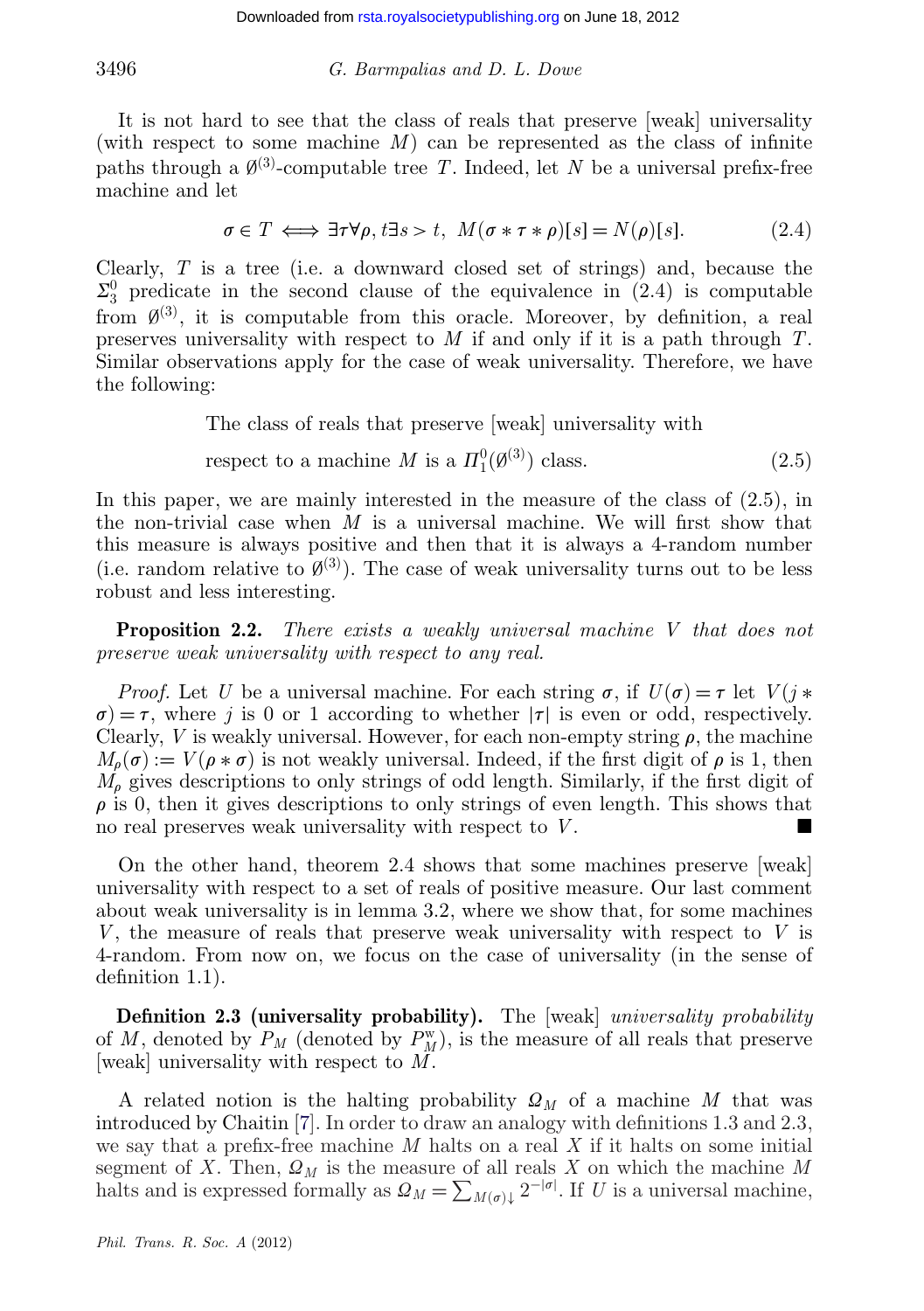It is not hard to see that the class of reals that preserve [weak] universality (with respect to some machine *M*) can be represented as the class of infinite paths through a  $\emptyset^{(3)}$ -computable tree *T*. Indeed, let *N* be a universal prefix-free machine and let

$$
\sigma \in T \iff \exists \tau \forall \rho, t \exists s > t, \ M(\sigma * \tau * \rho)[s] = N(\rho)[s]. \tag{2.4}
$$

Clearly, *T* is a tree (i.e. a downward closed set of strings) and, because the  $\Sigma_3^0$  predicate in the second clause of the equivalence in (2.4) is computable from  $\emptyset^{(3)}$ , it is computable from this oracle. Moreover, by definition, a real preserves universality with respect to *M* if and only if it is a path through *T*. Similar observations apply for the case of weak universality. Therefore, we have the following:

The class of reals that preserve [weak] universality with

respect to a machine *M* is a 
$$
\Pi_1^0(\emptyset^{(3)})
$$
 class. (2.5)

In this paper, we are mainly interested in the measure of the class of (2.5), in the non-trivial case when *M* is a universal machine. We will first show that this measure is always positive and then that it is always a 4-random number (i.e. random relative to  $\mathcal{O}^{(3)}$ ). The case of weak universality turns out to be less robust and less interesting.

**Proposition 2.2.** *There exists a weakly universal machine V that does not preserve weak universality with respect to any real.*

*Proof.* Let *U* be a universal machine. For each string  $\sigma$ , if  $U(\sigma) = \tau$  let  $V(j*)$  $\sigma$ ) =  $\tau$ , where *j* is 0 or 1 according to whether | $\tau$ | is even or odd, respectively. Clearly, *V* is weakly universal. However, for each non-empty string  $\rho$ , the machine  $M_{\rho}(\sigma) := V(\rho * \sigma)$  is not weakly universal. Indeed, if the first digit of  $\rho$  is 1, then  $M<sub>o</sub>$  gives descriptions to only strings of odd length. Similarly, if the first digit of  $\rho$  is 0, then it gives descriptions to only strings of even length. This shows that no real preserves weak universality with respect to *V* .

On the other hand, theorem 2.4 shows that some machines preserve [weak] universality with respect to a set of reals of positive measure. Our last comment about weak universality is in lemma 3.2, where we show that, for some machines *V* , the measure of reals that preserve weak universality with respect to *V* is 4-random. From now on, we focus on the case of universality (in the sense of definition 1.1).

**Definition 2.3 (universality probability).** The [weak] *universality probability* of *M*, denoted by  $P_M$  (denoted by  $P_M^w$ ), is the measure of all reals that preserve [weak] universality with respect to *M*.

A related notion is the halting probability  $\Omega_M$  of a machine M that was introduced by Chaitin [\[7\]](#page-23-0). In order to draw an analogy with definitions 1.3 and 2.3, we say that a prefix-free machine *M* halts on a real *X* if it halts on some initial segment of *X*. Then,  $\Omega_M$  is the measure of all reals *X* on which the machine *M* halts and is expressed formally as  $\Omega_M = \sum_{M(\sigma)\downarrow} 2^{-|\sigma|}$ . If *U* is a universal machine,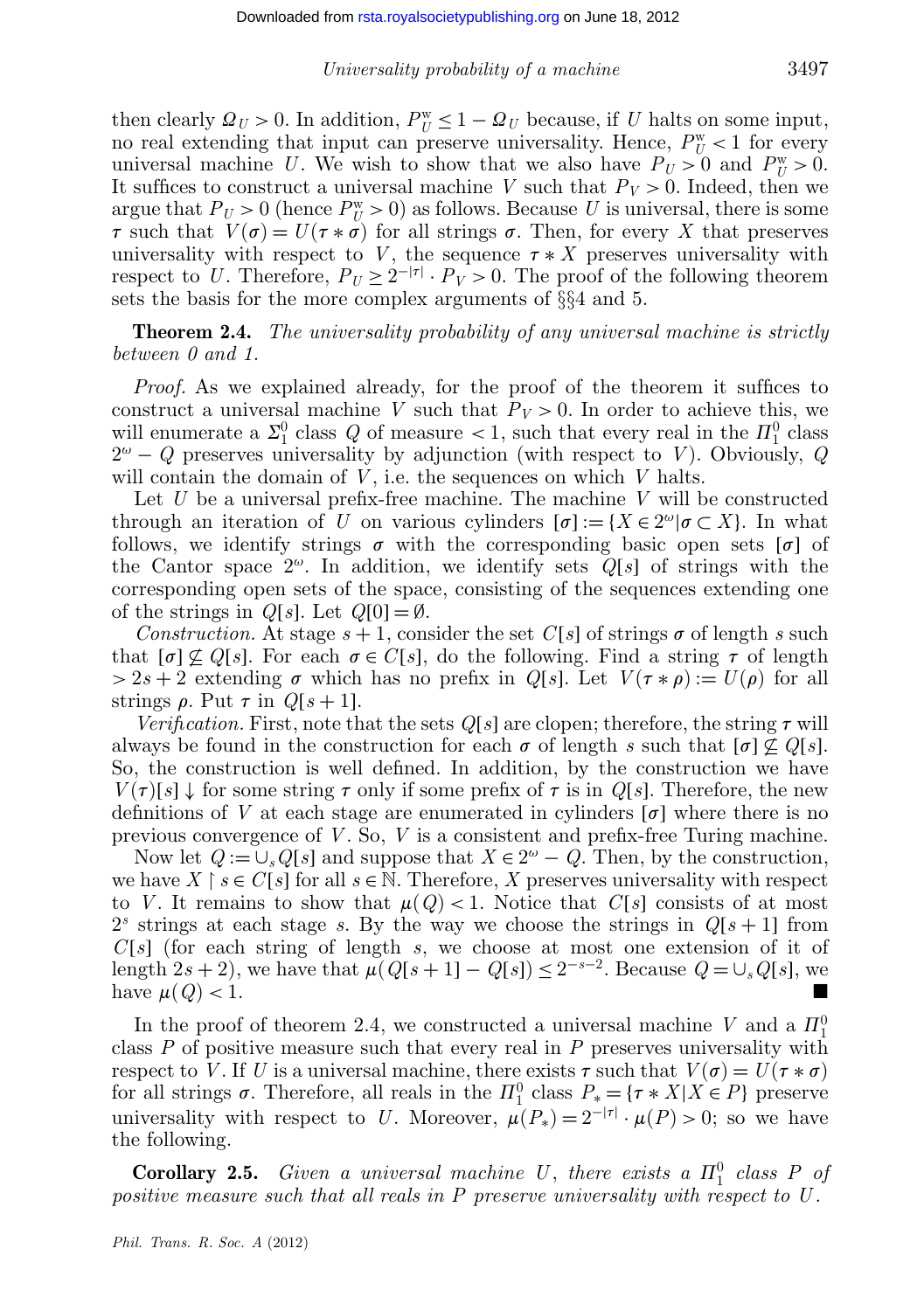then clearly  $Q_U > 0$ . In addition,  $P_U^{\text{w}} \leq 1 - Q_U$  because, if *U* halts on some input, no real extending that input can preserve universality. Hence,  $P_U^{\text{w}} < 1$  for every universal machine *U*. We wish to show that we also have  $P_U > 0$  and  $P_U^w > 0$ . It suffices to construct a universal machine *V* such that  $P_V > 0$ . Indeed, then we argue that  $P_U > 0$  (hence  $P_U^w > 0$ ) as follows. Because *U* is universal, there is some  $\tau$  such that  $V(\sigma) = U(\tau * \sigma)$  for all strings  $\sigma$ . Then, for every X that preserves universality with respect to *V*, the sequence  $\tau * X$  preserves universality with respect to *U*. Therefore,  $P_U \geq 2^{-|\tau|} \cdot P_V > 0$ . The proof of the following theorem sets the basis for the more complex arguments of §§4 and 5.

**Theorem 2.4.** *The universality probability of any universal machine is strictly between 0 and 1.*

*Proof.* As we explained already, for the proof of the theorem it suffices to construct a universal machine *V* such that  $P_V > 0$ . In order to achieve this, we will enumerate a  $\Sigma_1^0$  class *Q* of measure < 1, such that every real in the  $\Pi_1^0$  class  $2^{\omega} - Q$  preserves universality by adjunction (with respect to *V*). Obviously, *Q* will contain the domain of *V*, i.e. the sequences on which *V* halts.

Let *U* be a universal prefix-free machine. The machine *V* will be constructed through an iteration of *U* on various cylinders  $[\sigma] := \{X \in 2^{\omega} | \sigma \subset X\}$ . In what follows, we identify strings  $\sigma$  with the corresponding basic open sets  $[\sigma]$  of the Cantor space  $2^{\omega}$ . In addition, we identify sets  $Q[s]$  of strings with the corresponding open sets of the space, consisting of the sequences extending one of the strings in  $Q[s]$ . Let  $Q[0] = \emptyset$ .

*Construction.* At stage  $s + 1$ , consider the set  $C[s]$  of strings  $\sigma$  of length *s* such that  $[\sigma] \not\subseteq Q[s]$ . For each  $\sigma \in C[s]$ , do the following. Find a string  $\tau$  of length  $> 2s + 2$  extending  $\sigma$  which has no prefix in *Q*[*s*]. Let  $V(\tau * \rho) := U(\rho)$  for all strings  $\rho$ . Put  $\tau$  in  $Q[s+1]$ .

*Verification.* First, note that the sets  $Q[s]$  are clopen; therefore, the string  $\tau$  will always be found in the construction for each  $\sigma$  of length *s* such that  $[\sigma] \not\subset Q[s]$ . So, the construction is well defined. In addition, by the construction we have  $V(\tau)[s] \downarrow$  for some string  $\tau$  only if some prefix of  $\tau$  is in *Q*[*s*]. Therefore, the new definitions of V at each stage are enumerated in cylinders  $[\sigma]$  where there is no previous convergence of *V* . So, *V* is a consistent and prefix-free Turing machine.

Now let  $Q := \bigcup_s Q[s]$  and suppose that  $X \in 2^{\omega} - Q$ . Then, by the construction, we have  $X \restriction s \in C[s]$  for all  $s \in \mathbb{N}$ . Therefore,  $X$  preserves universality with respect to *V*. It remains to show that  $\mu(Q) < 1$ . Notice that  $C[s]$  consists of at most  $2<sup>s</sup>$  strings at each stage *s*. By the way we choose the strings in  $Q[s+1]$  from *C*[*s*] (for each string of length *s*, we choose at most one extension of it of length  $2s + 2$ , we have that  $\mu(Q[s+1] - Q[s]) \leq 2^{-s-2}$ . Because  $Q = \bigcup_s Q[s]$ , we have  $\mu(Q) < 1$ .

In the proof of theorem 2.4, we constructed a universal machine *V* and a  $\Pi_1^0$ class *P* of positive measure such that every real in *P* preserves universality with respect to *V*. If *U* is a universal machine, there exists  $\tau$  such that  $V(\sigma) = U(\tau * \sigma)$ for all strings  $\sigma$ . Therefore, all reals in the  $\Pi_1^0$  class  $P_* = {\tau * X | X \in P}$  preserve universality with respect to *U*. Moreover,  $\mu(P_*) = 2^{-|\tau|} \cdot \mu(P) > 0$ ; so we have the following.

**Corollary 2.5.** *Given a universal machine U*, *there exists a*  $\Pi_1^0$  *class P of positive measure such that all reals in P preserve universality with respect to U .*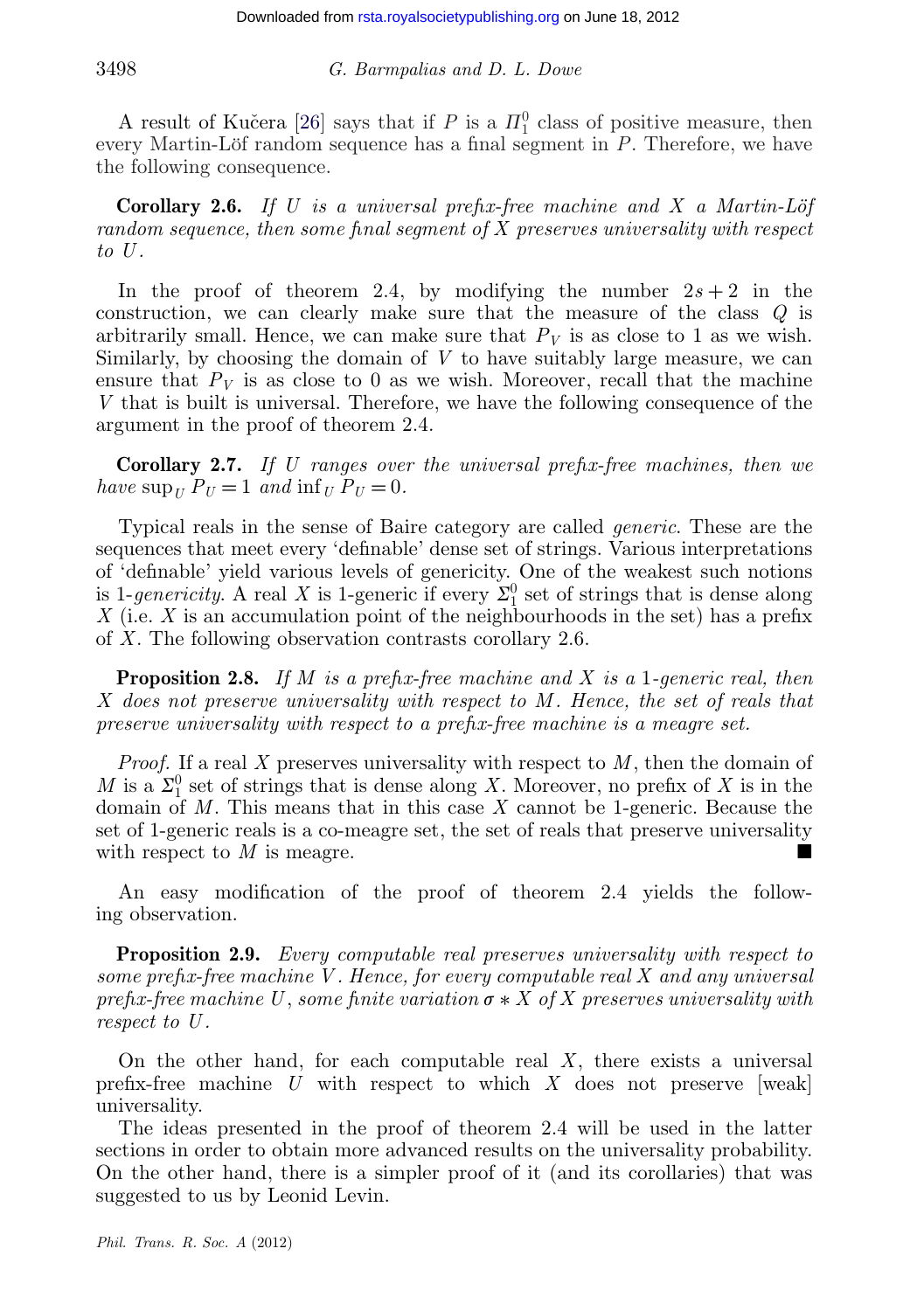A result of Kučera [\[26\]](#page-24-0) says that if  $P$  is a  $\Pi_1^0$  class of positive measure, then every Martin-Löf random sequence has a final segment in *P*. Therefore, we have the following consequence.

**Corollary 2.6.** *If U is a universal prefix-free machine and X a Martin-Löf random sequence, then some final segment of X preserves universality with respect to U .*

In the proof of theorem 2.4, by modifying the number  $2s + 2$  in the construction, we can clearly make sure that the measure of the class *Q* is arbitrarily small. Hence, we can make sure that  $P_V$  is as close to 1 as we wish. Similarly, by choosing the domain of *V* to have suitably large measure, we can ensure that  $P_V$  is as close to 0 as we wish. Moreover, recall that the machine *V* that is built is universal. Therefore, we have the following consequence of the argument in the proof of theorem 2.4.

**Corollary 2.7.** *If U ranges over the universal prefix-free machines, then we have*  $\sup_U P_U = 1$  *and*  $\inf_U P_U = 0$ *.* 

Typical reals in the sense of Baire category are called *generic*. These are the sequences that meet every 'definable' dense set of strings. Various interpretations of 'definable' yield various levels of genericity. One of the weakest such notions is 1-genericity. A real *X* is 1-generic if every  $\Sigma_1^0$  set of strings that is dense along *X* (i.e. *X* is an accumulation point of the neighbourhoods in the set) has a prefix of *X*. The following observation contrasts corollary 2.6.

**Proposition 2.8.** *If M is a prefix-free machine and X is a* 1*-generic real, then X does not preserve universality with respect to M . Hence, the set of reals that preserve universality with respect to a prefix-free machine is a meagre set.*

*Proof.* If a real *X* preserves universality with respect to *M*, then the domain of *M* is a  $\Sigma_1^0$  set of strings that is dense along *X*. Moreover, no prefix of *X* is in the domain of *M*. This means that in this case *X* cannot be 1-generic. Because the set of 1-generic reals is a co-meagre set, the set of reals that preserve universality with respect to *M* is meagre.

An easy modification of the proof of theorem 2.4 yields the following observation.

**Proposition 2.9.** *Every computable real preserves universality with respect to some prefix-free machine V . Hence, for every computable real X and any universal prefix-free machine U, some finite variation*  $\sigma * X$  *of X preserves universality with respect to U .*

On the other hand, for each computable real *X*, there exists a universal prefix-free machine *U* with respect to which *X* does not preserve [weak] universality.

The ideas presented in the proof of theorem 2.4 will be used in the latter sections in order to obtain more advanced results on the universality probability. On the other hand, there is a simpler proof of it (and its corollaries) that was suggested to us by Leonid Levin.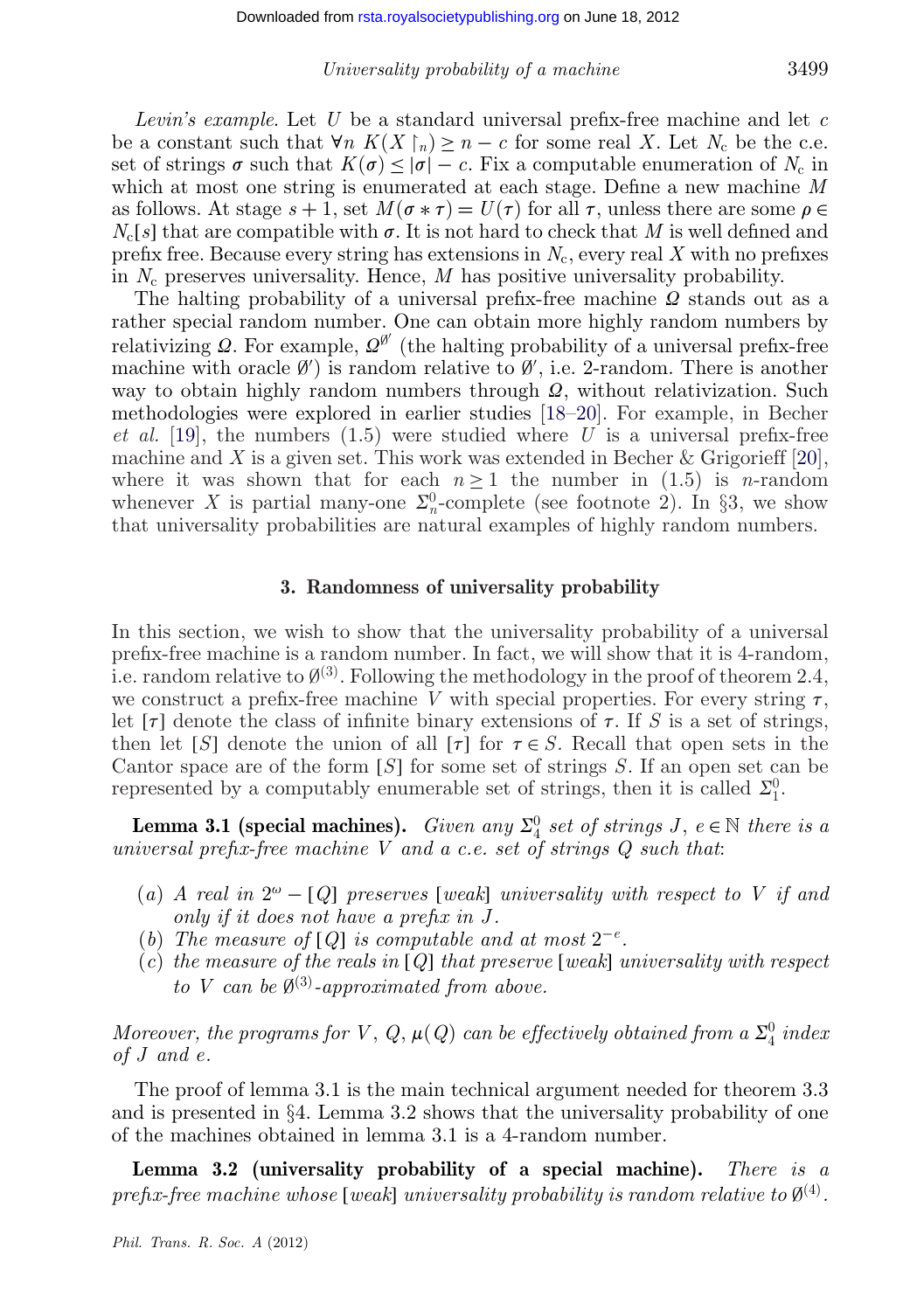*Levin's example*. Let *U* be a standard universal prefix-free machine and let *c* be a constant such that  $\forall n \ K(X \upharpoonright_n) \geq n - c$  for some real *X*. Let  $N_c$  be the c.e. set of strings  $\sigma$  such that  $K(\sigma) \leq |\sigma| - c$ . Fix a computable enumeration of  $N_c$  in which at most one string is enumerated at each stage. Define a new machine *M* as follows. At stage  $s + 1$ , set  $M(\sigma * \tau) = U(\tau)$  for all  $\tau$ , unless there are some  $\rho \in$  $N_c[s]$  that are compatible with  $\sigma$ . It is not hard to check that *M* is well defined and prefix free. Because every string has extensions in  $N_c$ , every real  $X$  with no prefixes in *N*<sup>c</sup> preserves universality. Hence, *M* has positive universality probability.

The halting probability of a universal prefix-free machine  $\Omega$  stands out as a rather special random number. One can obtain more highly random numbers by relativizing  $\Omega$ . For example,  $\Omega^{\emptyset'}$  (the halting probability of a universal prefix-free machine with oracle  $\emptyset'$  is random relative to  $\emptyset'$ , i.e. 2-random. There is another way to obtain highly random numbers through  $\Omega$ , without relativization. Such methodologies were explored in earlier studies [\[18–20\]](#page-24-0). For example, in Becher *et al.* [\[19\]](#page-24-0), the numbers (1.5) were studied where *U* is a universal prefix-free machine and *X* is a given set. This work was extended in Becher & Grigorieff [\[20\]](#page-24-0), where it was shown that for each  $n \geq 1$  the number in (1.5) is *n*-random whenever X is partial many-one  $\Sigma_n^0$ -complete (see footnote 2). In §3, we show that universality probabilities are natural examples of highly random numbers.

#### **3. Randomness of universality probability**

In this section, we wish to show that the universality probability of a universal prefix-free machine is a random number. In fact, we will show that it is 4-random, i.e. random relative to  $\mathcal{O}^{(3)}$ . Following the methodology in the proof of theorem 2.4, we construct a prefix-free machine *V* with special properties. For every string  $\tau$ , let  $[\tau]$  denote the class of infinite binary extensions of  $\tau$ . If *S* is a set of strings, then let [*S*] denote the union of all [ $\tau$ ] for  $\tau \in S$ . Recall that open sets in the Cantor space are of the form [*S*] for some set of strings *S*. If an open set can be represented by a computably enumerable set of strings, then it is called  $\Sigma_1^0$ .

**Lemma 3.1 (special machines).** *Given any*  $\Sigma^0_4$  *set of strings J*,  $e \in \mathbb{N}$  *there is a universal prefix-free machine V and a c.e. set of strings Q such that*:

- $(a)$  *A real in*  $2^{\omega} [Q]$  *preserves* [*weak*] *universality with respect to V if and only if it does not have a prefix in J .*
- (*b*) *The measure of* [*Q*] *is computable and at most*  $2^{-e}$ *.*
- (*c*) *the measure of the reals in* [*Q*] *that preserve* [*weak*] *universality with respect to V* can be  $\emptyset^{(3)}$ -approximated from above.

*Moreover, the programs for*  $V$ *,*  $Q$ *,*  $\mu$  $(Q)$  *can be effectively obtained from a*  $\Sigma^0_4$  *index of J and e.*

The proof of lemma 3.1 is the main technical argument needed for theorem 3.3 and is presented in §4. Lemma 3.2 shows that the universality probability of one of the machines obtained in lemma 3.1 is a 4-random number.

**Lemma 3.2 (universality probability of a special machine).** *There is a prefix-free machine whose* [*weak*] *universality probability is random relative to*  $\mathfrak{g}^{(4)}$ .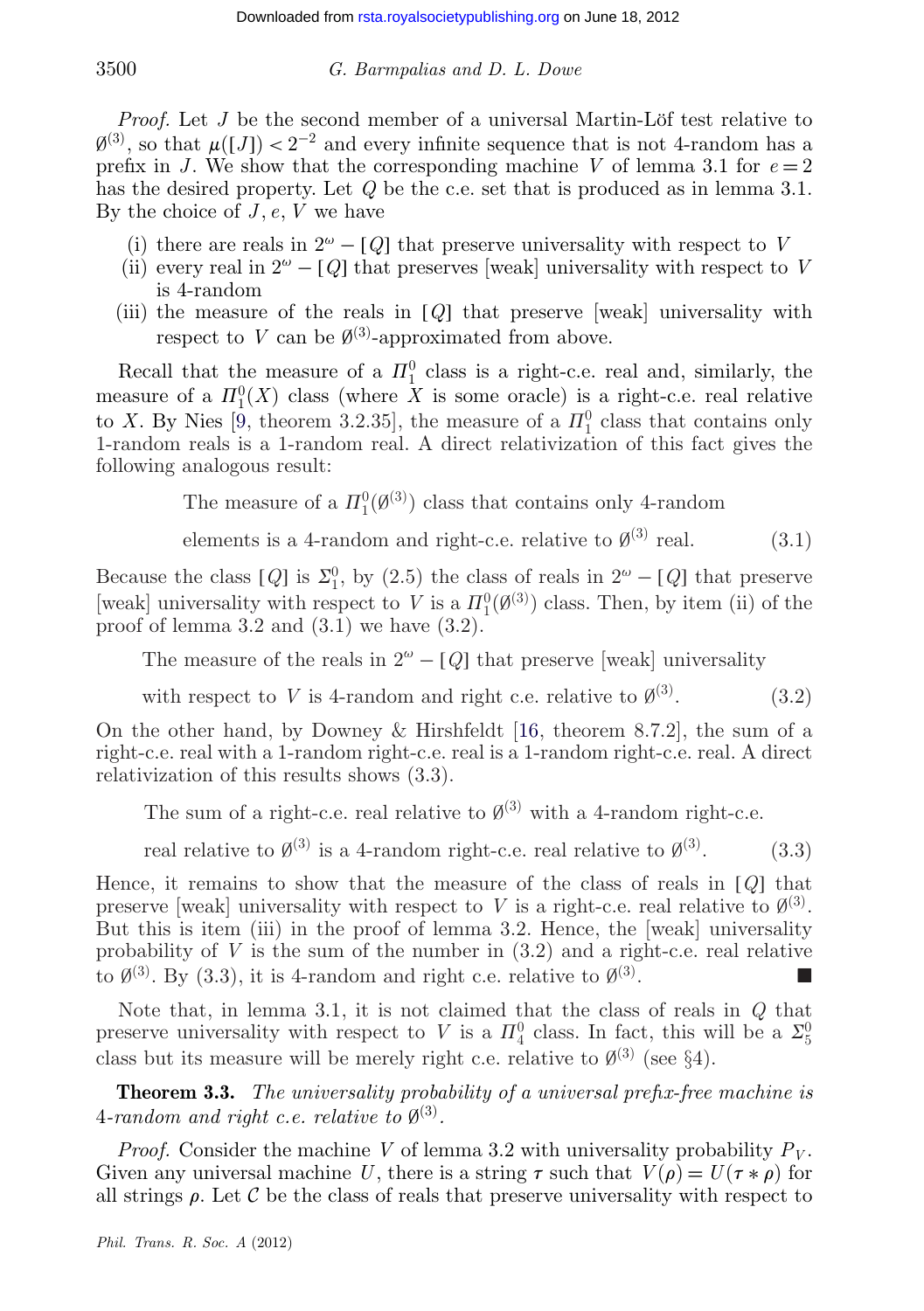*Proof.* Let *J* be the second member of a universal Martin-Löf test relative to  $\mathcal{O}(3)$ , so that  $\mu([J]) < 2^{-2}$  and every infinite sequence that is not 4-random has a prefix in *J*. We show that the corresponding machine *V* of lemma 3.1 for  $e = 2$ has the desired property. Let *Q* be the c.e. set that is produced as in lemma 3.1. By the choice of *J* , *e*, *V* we have

- (i) there are reals in  $2^{\omega} [Q]$  that preserve universality with respect to *V*
- (ii) every real in  $2^{\omega} [Q]$  that preserves [weak] universality with respect to *V* is 4-random
- (iii) the measure of the reals in [*Q*] that preserve [weak] universality with respect to *V* can be  $\emptyset^{(3)}$ -approximated from above.

Recall that the measure of a  $\Pi_1^0$  class is a right-c.e. real and, similarly, the measure of a  $\mathbb{H}^0_1(X)$  class (where X is some oracle) is a right-c.e. real relative to *X*. By Nies [\[9,](#page-23-0) theorem 3.2.35], the measure of a  $\Pi_1^0$  class that contains only 1-random reals is a 1-random real. A direct relativization of this fact gives the following analogous result:

The measure of a  $\Pi_1^0(\emptyset^{(3)})$  class that contains only 4-random

elements is a 4-random and right-c.e. relative to  $\emptyset^{(3)}$  real. (3.1)

Because the class  $[Q]$  is  $\Sigma_1^0$ , by  $(2.5)$  the class of reals in  $2^{\omega} - [Q]$  that preserve [weak] universality with respect to *V* is a  $\Pi_1^0(\emptyset^3)$  class. Then, by item (ii) of the proof of lemma 3.2 and  $(3.1)$  we have  $(3.2)$ .

The measure of the reals in  $2^{\omega} - [Q]$  that preserve [weak] universality

with respect to *V* is 4-random and right c.e. relative to  $\emptyset^{(3)}$ . (3.2)

On the other hand, by Downey & Hirshfeldt [\[16,](#page-24-0) theorem 8.7.2], the sum of a right-c.e. real with a 1-random right-c.e. real is a 1-random right-c.e. real. A direct relativization of this results shows (3.3).

The sum of a right-c.e. real relative to  $\emptyset^{(3)}$  with a 4-random right-c.e.

real relative to  $\emptyset^{(3)}$  is a 4-random right-c.e. real relative to  $\emptyset^{(3)}$ . (3.3)

Hence, it remains to show that the measure of the class of reals in [*Q*] that preserve [weak] universality with respect to *V* is a right-c.e. real relative to  $\varnothing^{(3)}$ . But this is item (iii) in the proof of lemma 3.2. Hence, the [weak] universality probability of  $V$  is the sum of the number in  $(3.2)$  and a right-c.e. real relative to  $\emptyset^{(3)}$ . By (3.3), it is 4-random and right c.e. relative to  $\emptyset^{(3)}$ .

Note that, in lemma 3.1, it is not claimed that the class of reals in *Q* that preserve universality with respect to *V* is a  $\Pi_4^0$  class. In fact, this will be a  $\Sigma_5^0$ class but its measure will be merely right c.e. relative to  $\mathcal{O}^{(3)}$  (see §4).

**Theorem 3.3.** *The universality probability of a universal prefix-free machine is* 4*-random and right c.e. relative to*  $\emptyset^{(3)}$ *.* 

*Proof.* Consider the machine *V* of lemma 3.2 with universality probability  $P_V$ . Given any universal machine U, there is a string  $\tau$  such that  $V(\rho) = U(\tau * \rho)$  for all strings  $\rho$ . Let C be the class of reals that preserve universality with respect to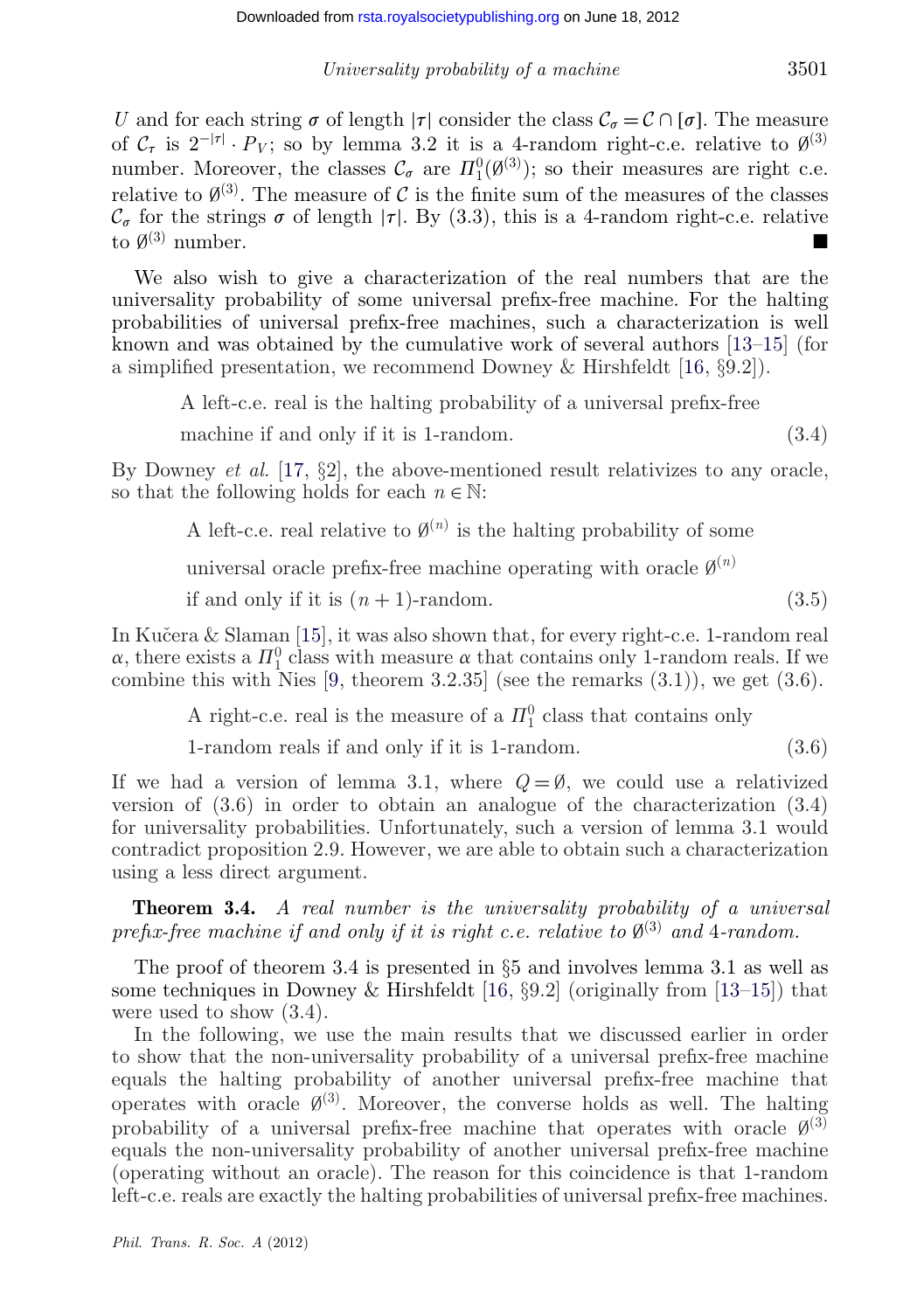*U* and for each string  $\sigma$  of length  $|\tau|$  consider the class  $C_{\sigma} = C \cap [\sigma]$ . The measure of  $C_{\tau}$  is  $2^{-|\tau|} \cdot P_V$ ; so by lemma 3.2 it is a 4-random right-c.e. relative to  $\emptyset^{(3)}$ number. Moreover, the classes  $\mathcal{C}_{\sigma}$  are  $\Pi_1^0(\emptyset^{(3)})$ ; so their measures are right c.e. relative to  $\emptyset^{(3)}$ . The measure of C is the finite sum of the measures of the classes  $\mathcal{C}_{\sigma}$  for the strings  $\sigma$  of length  $|\tau|$ . By (3.3), this is a 4-random right-c.e. relative to  $\emptyset^{(3)}$  number to  $\varnothing^{(3)}$  number.

We also wish to give a characterization of the real numbers that are the universality probability of some universal prefix-free machine. For the halting probabilities of universal prefix-free machines, such a characterization is well known and was obtained by the cumulative work of several authors [\[13–15\]](#page-24-0) (for a simplified presentation, we recommend Downey & Hirshfeldt [\[16,](#page-24-0) §9.2]).

A left-c.e. real is the halting probability of a universal prefix-free

machine if and only if it is 1-random. (3.4)

By Downey *et al.* [\[17,](#page-24-0) §2], the above-mentioned result relativizes to any oracle, so that the following holds for each  $n \in \mathbb{N}$ :

A left-c.e. real relative to  $\emptyset^{(n)}$  is the halting probability of some

universal oracle prefix-free machine operating with oracle  $\varnothing^{(n)}$ 

if and only if it is  $(n+1)$ -random. (3.5)

In Kučera  $&$  Slaman [\[15\]](#page-24-0), it was also shown that, for every right-c.e. 1-random real  $\alpha$ , there exists a  $\Pi_1^0$  class with measure  $\alpha$  that contains only 1-random reals. If we combine this with Nies  $[9,$  theorem 3.2.35 (see the remarks  $(3.1)$ ), we get  $(3.6)$ .

A right-c.e. real is the measure of a  $\Pi_1^0$  class that contains only

1-random reals if and only if it is 1-random. (3.6)

If we had a version of lemma 3.1, where  $Q = \emptyset$ , we could use a relativized version of (3.6) in order to obtain an analogue of the characterization (3.4) for universality probabilities. Unfortunately, such a version of lemma 3.1 would contradict proposition 2.9. However, we are able to obtain such a characterization using a less direct argument.

**Theorem 3.4.** *A real number is the universality probability of a universal prefix-free machine if and only if it is right c.e. relative to*  $\emptyset^{(3)}$  *and* 4*-random.* 

The proof of theorem 3.4 is presented in §5 and involves lemma 3.1 as well as some techniques in Downey & Hirshfeldt [\[16,](#page-24-0)  $\S 9.2$ ] (originally from [\[13–15\]](#page-24-0)) that were used to show (3.4).

In the following, we use the main results that we discussed earlier in order to show that the non-universality probability of a universal prefix-free machine equals the halting probability of another universal prefix-free machine that operates with oracle  $\emptyset^{(3)}$ . Moreover, the converse holds as well. The halting probability of a universal prefix-free machine that operates with oracle  $\mathcal{O}^{(3)}$ equals the non-universality probability of another universal prefix-free machine (operating without an oracle). The reason for this coincidence is that 1-random left-c.e. reals are exactly the halting probabilities of universal prefix-free machines.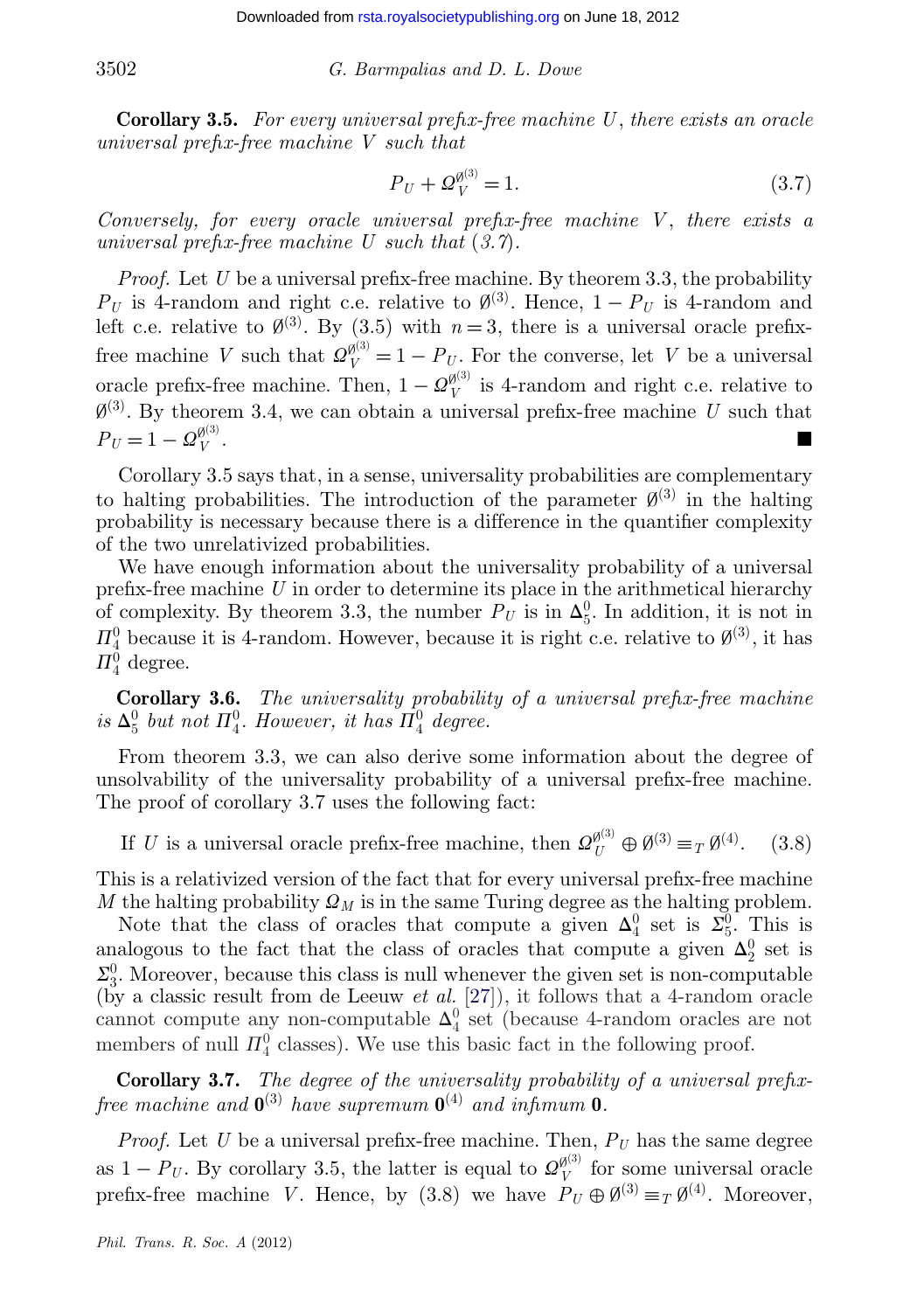**Corollary 3.5.** *For every universal prefix-free machine U*, *there exists an oracle universal prefix-free machine V such that*

$$
P_U + \mathcal{Q}_V^{\theta^{(3)}} = 1. \tag{3.7}
$$

*Conversely, for every oracle universal prefix-free machine V* , *there exists a universal prefix-free machine U such that* (*3.7*)*.*

*Proof.* Let *U* be a universal prefix-free machine. By theorem 3.3, the probability  $P_U$  is 4-random and right c.e. relative to  $\emptyset^{(3)}$ . Hence,  $1 - P_U$  is 4-random and left c.e. relative to  $\emptyset^{(3)}$ . By (3.5) with  $n=3$ , there is a universal oracle prefixfree machine *V* such that  $\mathcal{Q}_{V}^{\emptyset^{(3)}} = 1 - P_{U}$ . For the converse, let *V* be a universal oracle prefix-free machine. Then,  $1 - \mathcal{Q}_V^{\beta^{(3)}}$  is 4-random and right c.e. relative to  $\emptyset^{(3)}$ . By theorem 3.4, we can obtain a universal prefix-free machine *U* such that  $P_U = 1 - Q_V^{\emptyset^{(3)}}$ . *V* .

Corollary 3.5 says that, in a sense, universality probabilities are complementary to halting probabilities. The introduction of the parameter  $\mathcal{O}^{(3)}$  in the halting probability is necessary because there is a difference in the quantifier complexity of the two unrelativized probabilities.

We have enough information about the universality probability of a universal prefix-free machine *U* in order to determine its place in the arithmetical hierarchy of complexity. By theorem 3.3, the number  $P_U$  is in  $\Delta_5^0$ . In addition, it is not in  $\Pi_4^0$  because it is 4-random. However, because it is right c.e. relative to  $\emptyset^{(3)}$ , it has  $\Pi^0_4$  degree.

**Corollary 3.6.** *The universality probability of a universal prefix-free machine* is  $\Delta_5^0$  but not  $\Pi_4^0$ . However, it has  $\Pi_4^0$  degree.

From theorem 3.3, we can also derive some information about the degree of unsolvability of the universality probability of a universal prefix-free machine. The proof of corollary 3.7 uses the following fact:

If *U* is a universal oracle prefix-free machine, then  $\mathcal{Q}_U^{\emptyset^{(3)}} \oplus \emptyset^{(3)} \equiv_T \emptyset^{(4)}$ . (3.8)

This is a relativized version of the fact that for every universal prefix-free machine *M* the halting probability  $\Omega_M$  is in the same Turing degree as the halting problem.

Note that the class of oracles that compute a given  $\Delta_4^0$  set is  $\overline{\Sigma_5^0}$ . This is analogous to the fact that the class of oracles that compute a given  $\Delta_2^0$  set is  $\Sigma_3^0$ . Moreover, because this class is null whenever the given set is non-computable (by a classic result from de Leeuw *et al.* [\[27\]](#page-24-0)), it follows that a 4-random oracle cannot compute any non-computable  $\Delta_4^0$  set (because 4-random oracles are not members of null  $\Pi_4^0$  classes). We use this basic fact in the following proof.

**Corollary 3.7.** *The degree of the universality probability of a universal prefixfree machine and*  $\mathbf{0}^{(3)}$  *have supremum*  $\mathbf{0}^{(4)}$  *and infimum*  $\mathbf{0}$ *.* 

*Proof.* Let *U* be a universal prefix-free machine. Then,  $P_U$  has the same degree as  $1 - P_U$ . By corollary 3.5, the latter is equal to  $\mathcal{Q}_V^{\emptyset^{(3)}}$  for some universal oracle prefix-free machine *V*. Hence, by (3.8) we have  $P_U \oplus \emptyset^{(3)} \equiv_T \emptyset^{(4)}$ . Moreover,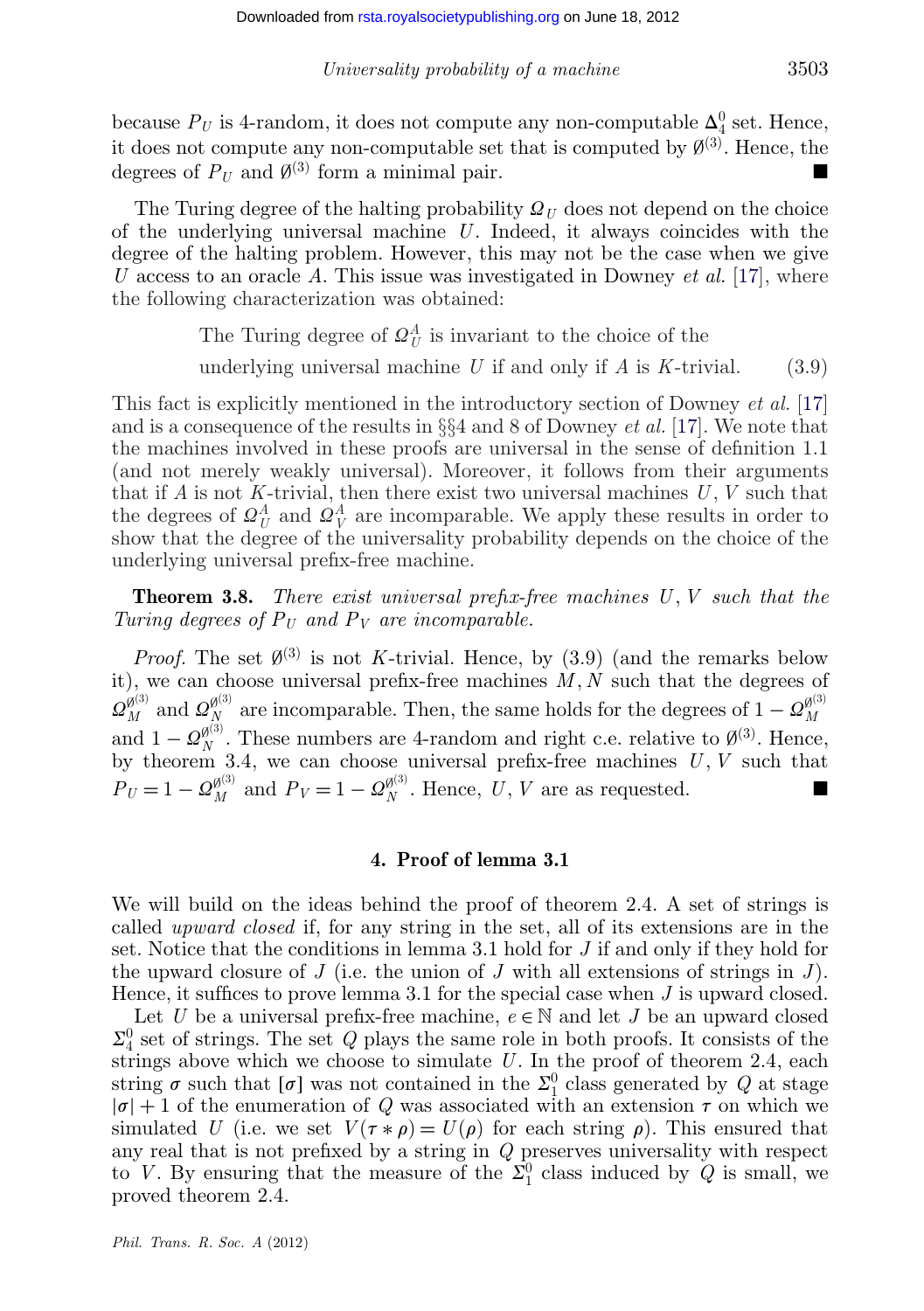because  $P_U$  is 4-random, it does not compute any non-computable  $\Delta_4^0$  set. Hence, it does not compute any non-computable set that is computed by  $\emptyset^{(3)}$ . Hence, the degrees of  $P_U$  and  $\emptyset^{(3)}$  form a minimal pair.

The Turing degree of the halting probability  $\mathcal{Q}_U$  does not depend on the choice of the underlying universal machine *U*. Indeed, it always coincides with the degree of the halting problem. However, this may not be the case when we give *U* access to an oracle *A*. This issue was investigated in Downey *et al.* [\[17\]](#page-24-0), where the following characterization was obtained:

The Turing degree of  $\mathcal{Q}_{U}^{A}$  is invariant to the choice of the

underlying universal machine  $U$  if and only if  $A$  is  $K$ -trivial. (3.9)

This fact is explicitly mentioned in the introductory section of Downey *et al.* [\[17\]](#page-24-0) and is a consequence of the results in §§4 and 8 of Downey *et al.* [\[17\]](#page-24-0). We note that the machines involved in these proofs are universal in the sense of definition 1.1 (and not merely weakly universal). Moreover, it follows from their arguments that if  $A$  is not  $K$ -trivial, then there exist two universal machines  $U, V$  such that the degrees of  $\Omega^A_U$  and  $\Omega^A_V$  are incomparable. We apply these results in order to show that the degree of the universality probability depends on the choice of the underlying universal prefix-free machine.

**Theorem 3.8.** *There exist universal prefix-free machines U*, *V such that the Turing degrees of*  $P_U$  *and*  $P_V$  *are incomparable.* 

*Proof.* The set  $\emptyset^{(3)}$  is not *K*-trivial. Hence, by (3.9) (and the remarks below it), we can choose universal prefix-free machines *M*, *N* such that the degrees of  $\Omega_M^{\emptyset^{(3)}}$  and  $\Omega_N^{\emptyset^{(3)}}$  are incomparable. Then, the same holds for the degrees of  $1-\Omega_M^{\emptyset^{(3)}}$ and  $1 - \mathcal{Q}_{N}^{\emptyset^{(3)}}$ . These numbers are 4-random and right c.e. relative to  $\emptyset^{(3)}$ . Hence, by theorem 3.4, we can choose universal prefix-free machines *U*, *V* such that  $P_U = 1 - \mathcal{Q}_{M}^{\emptyset^{(3)}}$  and  $P_V = 1 - \mathcal{Q}_{N}^{\emptyset^{(3)}}$ . Hence, *U*, *V* are as requested.

#### **4. Proof of lemma 3.1**

We will build on the ideas behind the proof of theorem 2.4. A set of strings is called *upward closed* if, for any string in the set, all of its extensions are in the set. Notice that the conditions in lemma 3.1 hold for *J* if and only if they hold for the upward closure of *J* (i.e. the union of *J* with all extensions of strings in *J*). Hence, it suffices to prove lemma 3.1 for the special case when *J* is upward closed.

Let *U* be a universal prefix-free machine,  $e \in \mathbb{N}$  and let *J* be an upward closed  $\Sigma^0_4$  set of strings. The set *Q* plays the same role in both proofs. It consists of the strings above which we choose to simulate *U*. In the proof of theorem 2.4, each string  $\sigma$  such that  $[\sigma]$  was not contained in the  $\Sigma_1^0$  class generated by  $Q$  at stage  $|\sigma| + 1$  of the enumeration of *Q* was associated with an extension  $\tau$  on which we simulated *U* (i.e. we set  $V(\tau * \rho) = U(\rho)$  for each string  $\rho$ ). This ensured that any real that is not prefixed by a string in *Q* preserves universality with respect to *V*. By ensuring that the measure of the  $\Sigma_1^0$  class induced by *Q* is small, we proved theorem 2.4.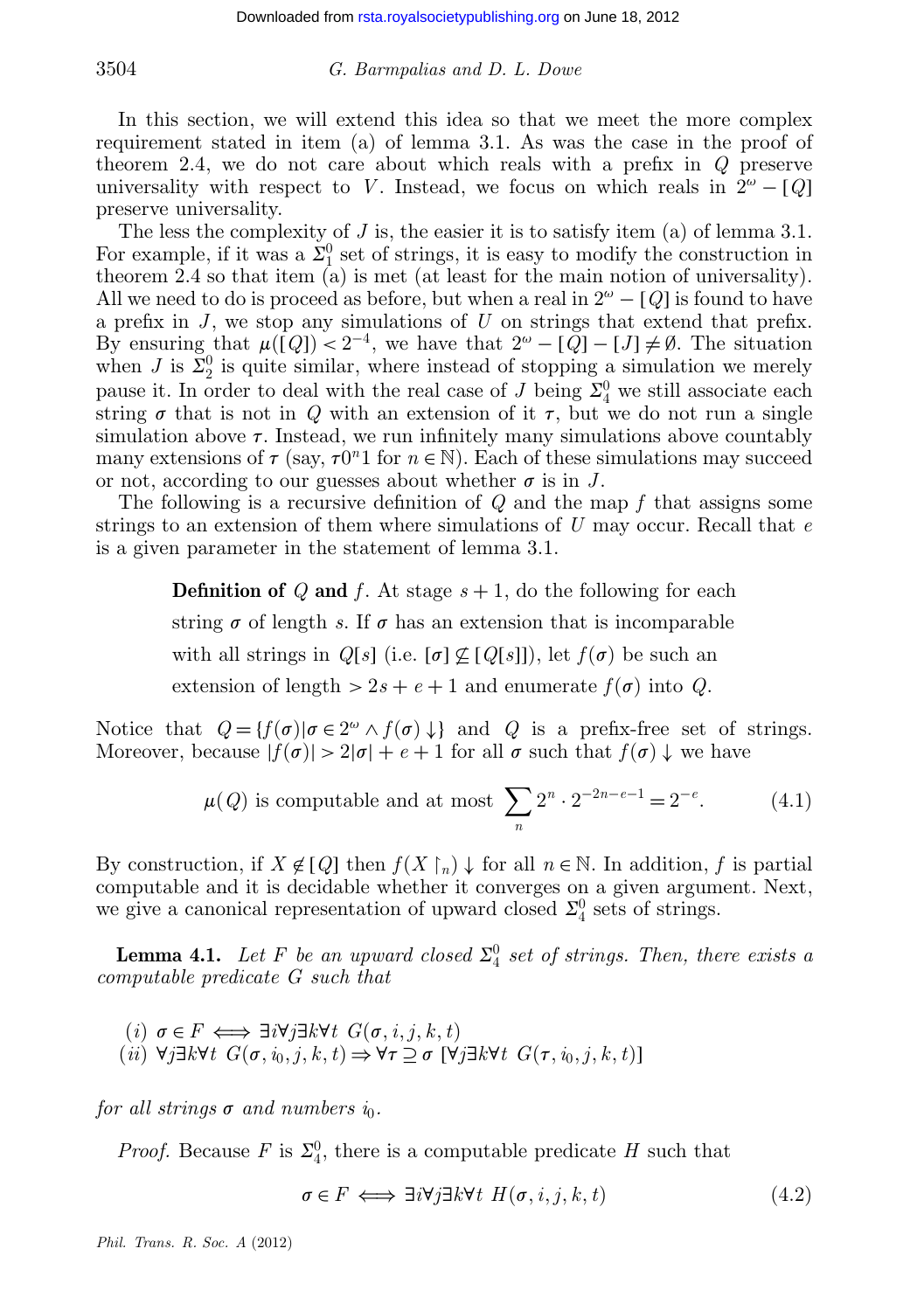In this section, we will extend this idea so that we meet the more complex requirement stated in item (a) of lemma 3.1. As was the case in the proof of theorem 2.4, we do not care about which reals with a prefix in *Q* preserve universality with respect to *V*. Instead, we focus on which reals in  $2^{\omega} - [Q]$ preserve universality.

The less the complexity of *J* is, the easier it is to satisfy item (a) of lemma 3.1. For example, if it was a  $\Sigma_1^0$  set of strings, it is easy to modify the construction in theorem 2.4 so that item (a) is met (at least for the main notion of universality). All we need to do is proceed as before, but when a real in  $2^{\omega} - [Q]$  is found to have a prefix in *J* , we stop any simulations of *U* on strings that extend that prefix. By ensuring that  $\mu([Q]) < 2^{-4}$ , we have that  $2^{\omega} - [Q] - [J] \neq \emptyset$ . The situation when *J* is  $\bar{\Sigma}_2^0$  is quite similar, where instead of stopping a simulation we merely pause it. In order to deal with the real case of *J* being  $\Sigma_4^0$  we still associate each string  $\sigma$  that is not in  $Q$  with an extension of it  $\tau$ , but we do not run a single simulation above  $\tau$ . Instead, we run infinitely many simulations above countably many extensions of  $\tau$  (say,  $\tau 0^n 1$  for  $n \in \mathbb{N}$ ). Each of these simulations may succeed or not, according to our guesses about whether  $\sigma$  is in *J*.

The following is a recursive definition of *Q* and the map *f* that assigns some strings to an extension of them where simulations of *U* may occur. Recall that *e* is a given parameter in the statement of lemma 3.1.

> **Definition of**  $Q$  and  $f$ . At stage  $s + 1$ , do the following for each string  $\sigma$  of length *s*. If  $\sigma$  has an extension that is incomparable with all strings in  $Q[s]$  (i.e.  $[\sigma] \not\subseteq [Q[s]]$ ), let  $f(\sigma)$  be such an extension of length  $> 2s + e + 1$  and enumerate  $f(\sigma)$  into *Q*.

Notice that  $Q = \{f(\sigma) | \sigma \in 2^{\omega} \wedge f(\sigma) \downarrow \}$  and *Q* is a prefix-free set of strings. Moreover, because  $|f(\sigma)| > 2|\sigma| + e + 1$  for all  $\sigma$  such that  $f(\sigma) \downarrow$  we have

$$
\mu(Q) \text{ is computable and at most } \sum_{n} 2^{n} \cdot 2^{-2n-e-1} = 2^{-e}. \tag{4.1}
$$

By construction, if  $X \notin [Q]$  then  $f(X \restriction_n) \downarrow$  for all  $n \in \mathbb{N}$ . In addition, f is partial computable and it is decidable whether it converges on a given argument. Next, we give a canonical representation of upward closed  $\Sigma_4^0$  sets of strings.

**Lemma 4.1.** Let F be an upward closed  $\Sigma^0_4$  set of strings. Then, there exists a *computable predicate G such that*

$$
(i) \sigma \in F \iff \exists i \forall j \exists k \forall t \ G(\sigma, i, j, k, t)
$$
  

$$
(ii) \forall j \exists k \forall t \ G(\sigma, i_0, j, k, t) \Rightarrow \forall \tau \supseteq \sigma \ [\forall j \exists k \forall t \ G(\tau, i_0, j, k, t)]
$$

*for all strings*  $\sigma$  *and numbers in.* 

*Proof.* Because *F* is  $\Sigma_4^0$ , there is a computable predicate *H* such that

$$
\sigma \in F \iff \exists i \forall j \exists k \forall t \ H(\sigma, i, j, k, t) \tag{4.2}
$$

*Phil. Trans. R. Soc. A* (2012)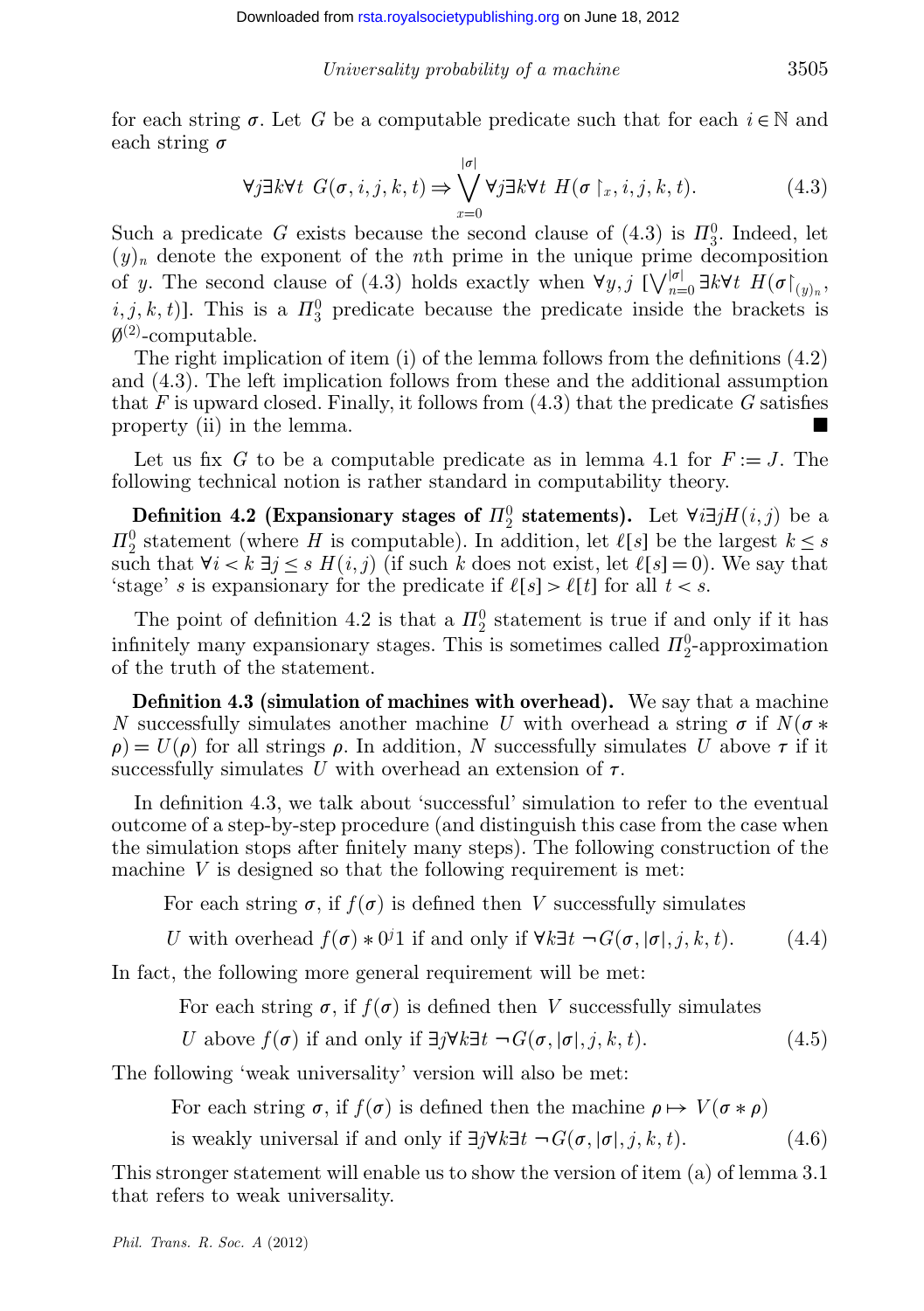for each string  $\sigma$ . Let *G* be a computable predicate such that for each  $i \in \mathbb{N}$  and each string  $\sigma$ 

$$
\forall j \exists k \forall t \ G(\sigma, i, j, k, t) \Rightarrow \bigvee_{x=0}^{|\sigma|} \forall j \exists k \forall t \ H(\sigma \upharpoonright_x, i, j, k, t). \tag{4.3}
$$

Such a predicate *G* exists because the second clause of  $(4.3)$  is  $\Pi_3^0$ . Indeed, let  $(y)_n$  denote the exponent of the *n*th prime in the unique prime decomposition of *y*. The second clause of (4.3) holds exactly when  $\forall y, j \ [\sqrt{\binom{|\sigma|}{n=0}} \exists k \forall t \ H(\sigma \upharpoonright_{(y)_n},$  $(i, j, k, t)$ ]. This is a  $\Pi_3^0$  predicate because the predicate inside the brackets is  $\emptyset^{(2)}$ -computable.

The right implication of item (i) of the lemma follows from the definitions (4.2) and (4.3). The left implication follows from these and the additional assumption that *F* is upward closed. Finally, it follows from (4.3) that the predicate *G* satisfies property (ii) in the lemma.

Let us fix *G* to be a computable predicate as in lemma 4.1 for  $F := J$ . The following technical notion is rather standard in computability theory.

**Definition 4.2 (Expansionary stages of**  $\Pi_2^0$  **statements).** Let  $\forall i \exists j H(i, j)$  be a  $\Pi_2^0$  statement (where *H* is computable). In addition, let  $\ell[s]$  be the largest  $k \leq s$ such that  $\forall i < k \exists j \le s$   $H(i, j)$  (if such *k* does not exist, let  $\ell[s] = 0$ ). We say that 'stage' *s* is expansionary for the predicate if  $\ell[s] > \ell[t]$  for all  $t < s$ .

The point of definition 4.2 is that a  $\Pi_2^0$  statement is true if and only if it has infinitely many expansionary stages. This is sometimes called  $\Pi_2^0$ -approximation of the truth of the statement.

**Definition 4.3 (simulation of machines with overhead).** We say that a machine *N* successfully simulates another machine *U* with overhead a string  $\sigma$  if  $N(\sigma *$  $\rho$ ) =  $U(\rho)$  for all strings  $\rho$ . In addition, *N* successfully simulates *U* above  $\tau$  if it successfully simulates U with overhead an extension of  $\tau$ .

In definition 4.3, we talk about 'successful' simulation to refer to the eventual outcome of a step-by-step procedure (and distinguish this case from the case when the simulation stops after finitely many steps). The following construction of the machine *V* is designed so that the following requirement is met:

For each string  $\sigma$ , if  $f(\sigma)$  is defined then *V* successfully simulates

*U* with overhead  $f(\sigma) * 0^j 1$  if and only if  $\forall k \exists t \ \neg G(\sigma, |\sigma|, j, k, t)$ . (4.4)

In fact, the following more general requirement will be met:

For each string  $\sigma$ , if  $f(\sigma)$  is defined then *V* successfully simulates

*U* above  $f(\sigma)$  if and only if  $\exists j \forall k \exists t$   $\neg G(\sigma, |\sigma|, j, k, t)$ . (4.5)

The following 'weak universality' version will also be met:

For each string  $\sigma$ , if  $f(\sigma)$  is defined then the machine  $\rho \mapsto V(\sigma * \rho)$ 

is weakly universal if and only if ∃*j*∀*k*∃*t* ¬ *G*(σ, |σ|, *j*, *k*, *t*). (4.6)

This stronger statement will enable us to show the version of item (a) of lemma 3.1 that refers to weak universality.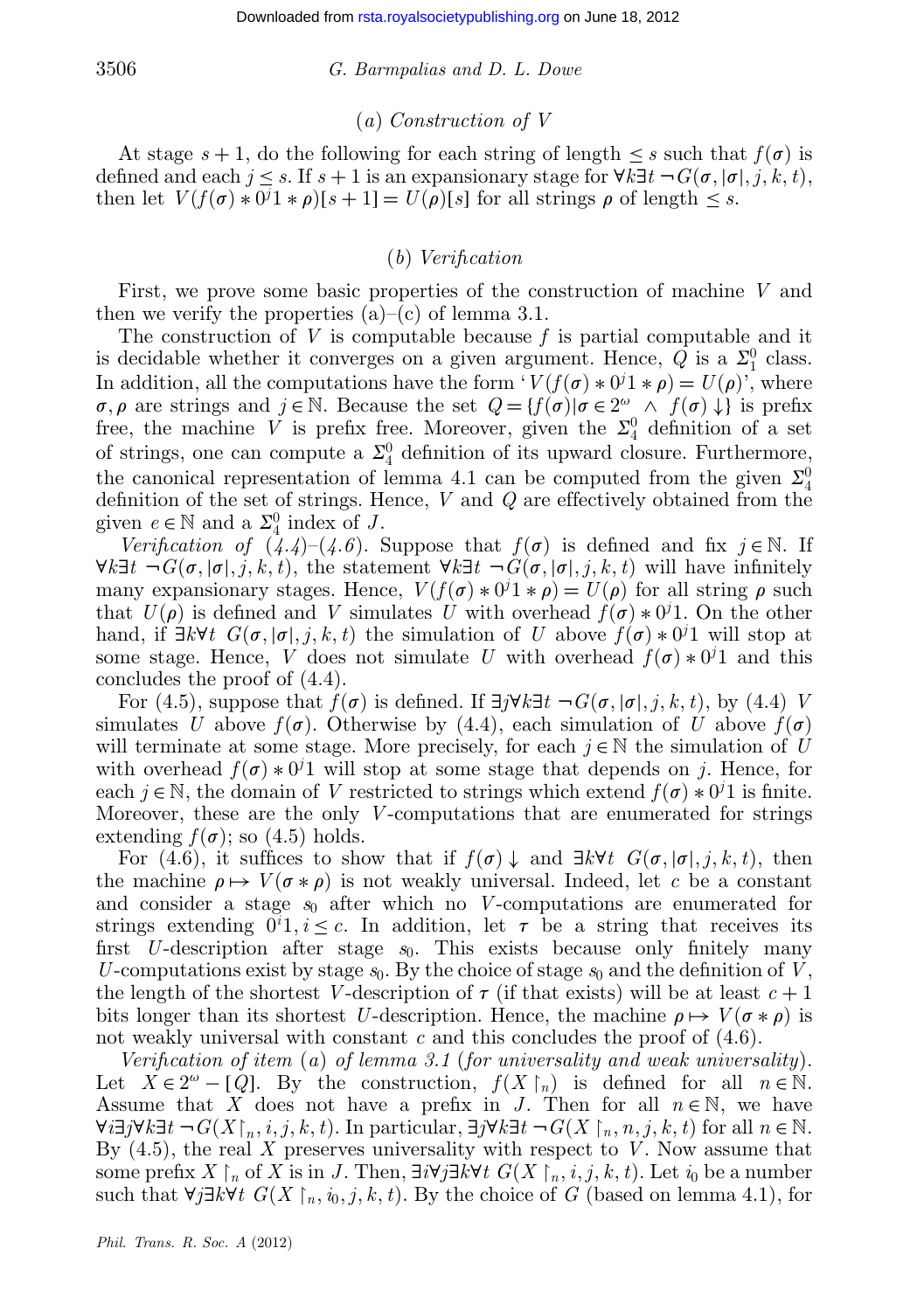# (*a*) *Construction of V*

At stage  $s + 1$ , do the following for each string of length  $\leq s$  such that  $f(\sigma)$  is defined and each  $j \leq s$ . If  $s + 1$  is an expansionary stage for  $\forall k \exists t$   $\neg G(\sigma, |\sigma|, j, k, t)$ , then let  $V(f(\sigma) * 0^j 1 * \rho)[s+1] = U(\rho)[s]$  for all strings  $\rho$  of length  $\leq s$ .

# (*b*) *Verification*

First, we prove some basic properties of the construction of machine *V* and then we verify the properties  $(a)$ – $(c)$  of lemma 3.1.

The construction of *V* is computable because *f* is partial computable and it is decidable whether it converges on a given argument. Hence,  $Q$  is a  $\Sigma_1^0$  class. In addition, all the computations have the form  $V(f(\sigma) * 0^j 1 * \rho) = U(\rho)$ , where  $\sigma, \rho$  are strings and  $j \in \mathbb{N}$ . Because the set  $Q = \{f(\sigma) | \sigma \in 2^{\omega} \land f(\sigma) \downarrow \}$  is prefix free, the machine V is prefix free. Moreover, given the  $\Sigma_4^0$  definition of a set of strings, one can compute a  $\Sigma^0_4$  definition of its upward closure. Furthermore, the canonical representation of lemma 4.1 can be computed from the given  $\Sigma^0_4$ definition of the set of strings. Hence, *V* and *Q* are effectively obtained from the given  $e \in \mathbb{N}$  and a  $\Sigma_4^0$  index of *J*.

*Verification of*  $(4.4)-(4.6)$ . Suppose that  $f(\sigma)$  is defined and fix  $j \in \mathbb{N}$ . If  $\forall k \exists t$   $\neg G(\sigma, |\sigma|, j, k, t)$ , the statement  $\forall k \exists t$   $\neg G(\sigma, |\sigma|, j, k, t)$  will have infinitely many expansionary stages. Hence,  $V(f(\sigma) * 0<sup>j</sup>1 * \rho) = U(\rho)$  for all string  $\rho$  such that  $U(\rho)$  is defined and *V* simulates *U* with overhead  $f(\sigma) * 0<sup>j</sup>1$ . On the other hand, if  $\exists k \forall t \ G(\sigma, |\sigma|, j, k, t)$  the simulation of *U* above  $f(\sigma) * 0<sup>j</sup>1$  will stop at some stage. Hence, *V* does not simulate *U* with overhead  $f(\sigma) * 0<sup>j</sup>1$  and this concludes the proof of (4.4).

For (4.5), suppose that  $f(\sigma)$  is defined. If  $\exists j \forall k \exists t \ \neg G(\sigma, |\sigma|, j, k, t)$ , by (4.4) *V* simulates *U* above  $f(\sigma)$ . Otherwise by (4.4), each simulation of *U* above  $f(\sigma)$ will terminate at some stage. More precisely, for each  $j \in \mathbb{N}$  the simulation of *U* with overhead  $f(\sigma) * 0<sup>j</sup>1$  will stop at some stage that depends on *j*. Hence, for each  $j \in \mathbb{N}$ , the domain of *V* restricted to strings which extend  $f(\sigma) * 0<sup>j</sup>1$  is finite. Moreover, these are the only *V* -computations that are enumerated for strings extending  $f(\sigma)$ ; so (4.5) holds.

For (4.6), it suffices to show that if  $f(\sigma) \downarrow$  and  $\exists k \forall t$   $G(\sigma, |\sigma|, j, k, t)$ , then the machine  $\rho \mapsto V(\sigma * \rho)$  is not weakly universal. Indeed, let *c* be a constant and consider a stage *s*<sup>0</sup> after which no *V* -computations are enumerated for strings extending  $0^i 1, i \leq c$ . In addition, let  $\tau$  be a string that receives its first *U*-description after stage  $s_0$ . This exists because only finitely many *U*-computations exist by stage  $s_0$ . By the choice of stage  $s_0$  and the definition of *V*, the length of the shortest *V*-description of  $\tau$  (if that exists) will be at least  $c + 1$ bits longer than its shortest *U*-description. Hence, the machine  $\rho \mapsto V(\sigma * \rho)$  is not weakly universal with constant *c* and this concludes the proof of  $(4.6)$ .

*Verification of item* (*a*) *of lemma 3.1* (*for universality and weak universality*). Let  $X \in 2^{\omega} - [\mathcal{Q}]$ . By the construction,  $f(X \restriction_n)$  is defined for all  $n \in \mathbb{N}$ . Assume that *X* does not have a prefix in *J*. Then for all  $n \in \mathbb{N}$ , we have  $\forall i \exists j \forall k \exists t \ \neg G(X \upharpoonright_n, i, j, k, t)$ . In particular,  $\exists j \forall k \exists t \ \neg G(X \upharpoonright_n, n, j, k, t)$  for all  $n \in \mathbb{N}$ . By (4.5), the real *X* preserves universality with respect to *V* . Now assume that some prefix  $X \restriction_n$  of  $X$  is in  $J$ . Then,  $\exists i \forall j \exists k \forall t \ G(X \restriction_n, i, j, k, t)$ . Let  $i_0$  be a number such that  $\forall j \exists k \forall t \ G(X \upharpoonright_n, i_0, j, k, t)$ . By the choice of *G* (based on lemma 4.1), for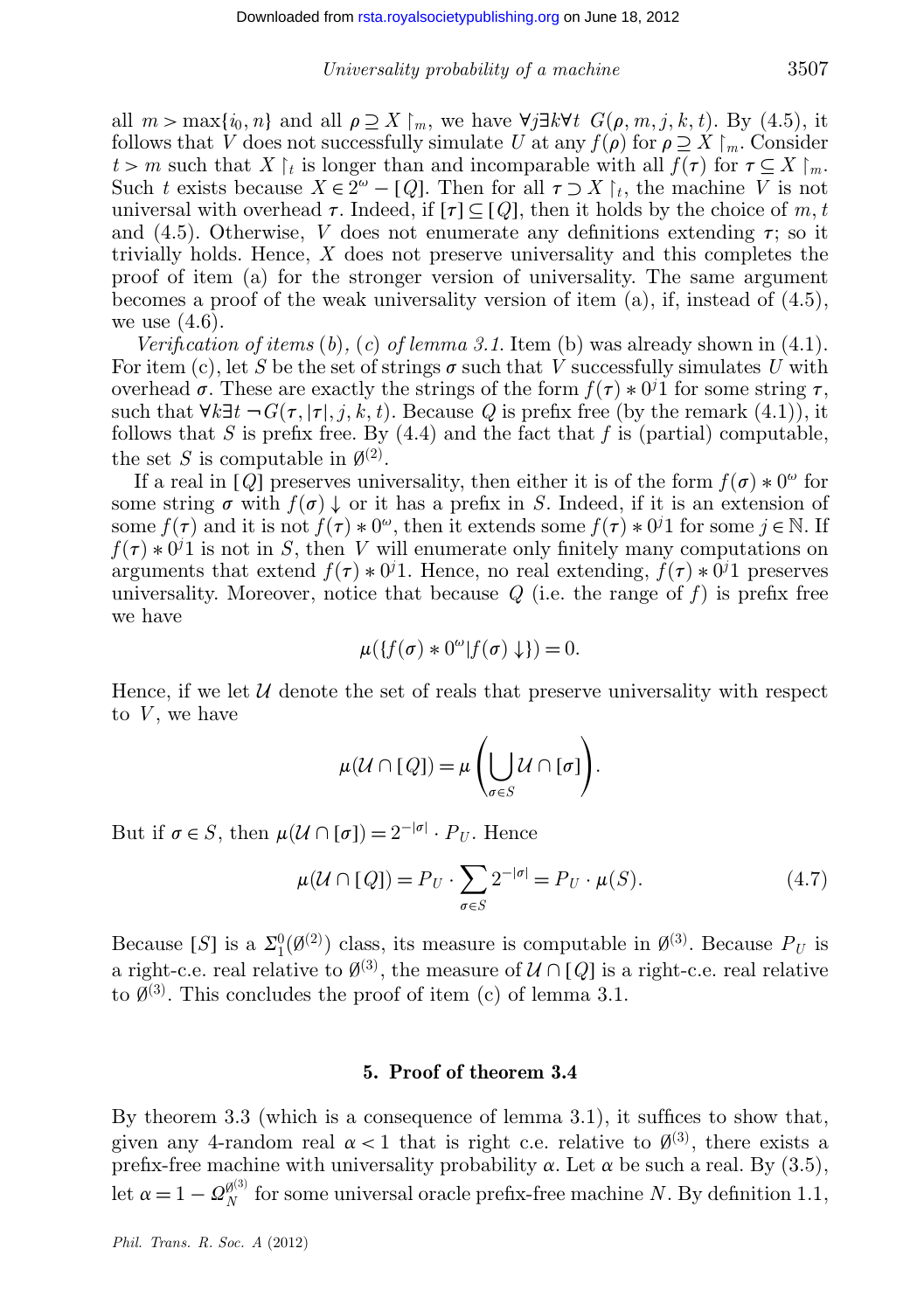all  $m > \max\{i_0, n\}$  and all  $\rho \supseteq X \mid_m$ , we have  $\forall j \exists k \forall t \ G(\rho, m, j, k, t)$ . By (4.5), it follows that *V* does not successfully simulate *U* at any  $f(\rho)$  for  $\rho \supseteq X \upharpoonright_m$ . Consider *t* > *m* such that *X*  $\upharpoonright$ *t* is longer than and incomparable with all *f*( $\tau$ ) for  $\tau \subseteq X \upharpoonright$ <sup>*m*</sup>. Such *t* exists because  $X \in \mathbb{Z}^{\omega} - [Q]$ . Then for all  $\tau \supset X |_{t}$ , the machine *V* is not universal with overhead  $\tau$ . Indeed, if  $[\tau] \subseteq [Q]$ , then it holds by the choice of m, t and  $(4.5)$ . Otherwise, *V* does not enumerate any definitions extending  $\tau$ ; so it trivially holds. Hence, *X* does not preserve universality and this completes the proof of item (a) for the stronger version of universality. The same argument becomes a proof of the weak universality version of item  $(a)$ , if, instead of  $(4.5)$ , we use  $(4.6)$ .

*Verification of items* (*b*)*,* (*c*) *of lemma 3.1*. Item (b) was already shown in (4.1). For item (c), let S be the set of strings  $\sigma$  such that *V* successfully simulates *U* with overhead  $\sigma$ . These are exactly the strings of the form  $f(\tau) * 0<sup>j</sup>1$  for some string  $\tau$ , such that  $\forall k \exists t \neg G(\tau, |\tau|, j, k, t)$ . Because *Q* is prefix free (by the remark (4.1)), it follows that *S* is prefix free. By (4.4) and the fact that *f* is (partial) computable, the set *S* is computable in  $\emptyset^{(2)}$ .

If a real in [*Q*] preserves universality, then either it is of the form  $f(\sigma) * 0^{\omega}$  for some string  $\sigma$  with  $f(\sigma) \downarrow$  or it has a prefix in *S*. Indeed, if it is an extension of some  $f(\tau)$  and it is not  $f(\tau) * 0^{\omega}$ , then it extends some  $f(\tau) * 0^j 1$  for some  $j \in \mathbb{N}$ . If  $f(\tau) * 0<sup>j</sup>1$  is not in *S*, then *V* will enumerate only finitely many computations on arguments that extend  $f(\tau) * 0<sup>j</sup>1$ . Hence, no real extending,  $f(\tau) * 0<sup>j</sup>1$  preserves universality. Moreover, notice that because  $Q$  (i.e. the range of  $f$ ) is prefix free we have

$$
\mu({f(\sigma)*0^{\omega}}|f(\sigma)\downarrow})=0.
$$

Hence, if we let  $U$  denote the set of reals that preserve universality with respect to  $V$ , we have

$$
\mu(\mathcal{U}\cap [Q])=\mu\left(\bigcup_{\sigma\in S}\mathcal{U}\cap [\sigma]\right).
$$

But if  $\sigma \in S$ , then  $\mu(\mathcal{U} \cap [\sigma]) = 2^{-|\sigma|} \cdot P_U$ . Hence

$$
\mu(\mathcal{U} \cap [Q]) = P_U \cdot \sum_{\sigma \in S} 2^{-|\sigma|} = P_U \cdot \mu(S). \tag{4.7}
$$

Because [*S*] is a  $\Sigma_1^0(\emptyset^{(2)})$  class, its measure is computable in  $\emptyset^{(3)}$ . Because  $P_U$  is a right-c.e. real relative to  $\emptyset^{(3)}$ , the measure of  $\mathcal{U} \cap [Q]$  is a right-c.e. real relative to  $\emptyset^{(3)}$ . This concludes the proof of item (c) of lemma 3.1.

### **5. Proof of theorem 3.4**

By theorem 3.3 (which is a consequence of lemma 3.1), it suffices to show that, given any 4-random real  $\alpha < 1$  that is right c.e. relative to  $\beta^{(3)}$ , there exists a prefix-free machine with universality probability  $\alpha$ . Let  $\alpha$  be such a real. By (3.5), let  $\alpha = 1 - \mathcal{Q}_N^{\emptyset^{(3)}}$  for some universal oracle prefix-free machine *N*. By definition 1.1,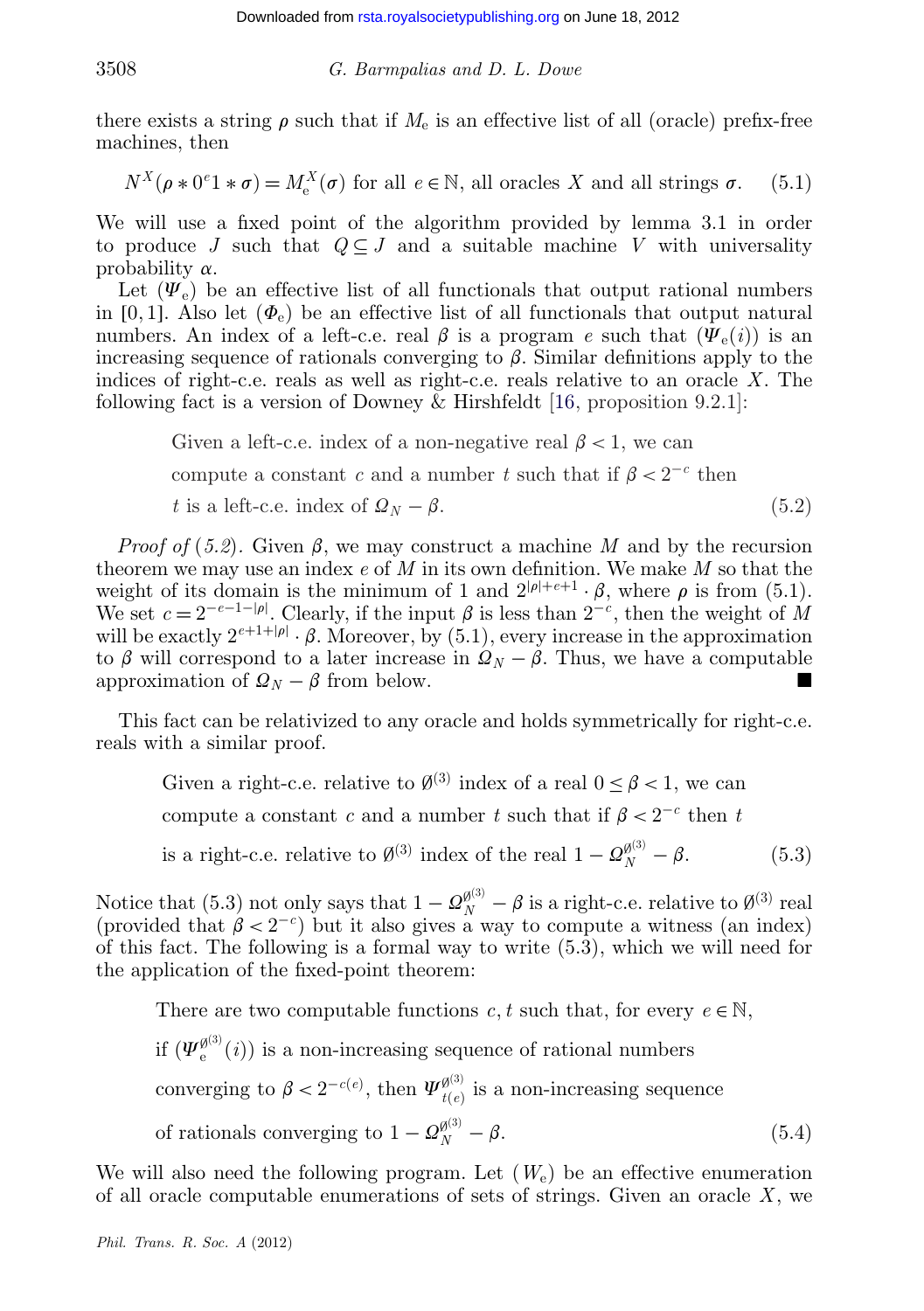there exists a string  $\rho$  such that if  $M_e$  is an effective list of all (oracle) prefix-free machines, then

$$
N^X(\rho * 0^e 1 * \sigma) = M^X_e(\sigma) \text{ for all } e \in \mathbb{N}, \text{ all oracles } X \text{ and all strings } \sigma. \tag{5.1}
$$

We will use a fixed point of the algorithm provided by lemma 3.1 in order to produce *J* such that  $Q \subseteq J$  and a suitable machine *V* with universality probability  $\alpha$ .

Let  $(\Psi_e)$  be an effective list of all functionals that output rational numbers in [0, 1]. Also let  $(\Phi_e)$  be an effective list of all functionals that output natural numbers. An index of a left-c.e. real  $\beta$  is a program *e* such that  $(\Psi_e(i))$  is an increasing sequence of rationals converging to  $\beta$ . Similar definitions apply to the indices of right-c.e. reals as well as right-c.e. reals relative to an oracle *X*. The following fact is a version of Downey & Hirshfeldt [\[16,](#page-24-0) proposition 9.2.1]:

> Given a left-c.e. index of a non-negative real  $\beta$  < 1, we can compute a constant *c* and a number *t* such that if  $\beta < 2^{-c}$  then *t* is a left-c.e. index of  $\Omega_N - \beta$ . (5.2)

*Proof of* (5.2). Given  $\beta$ , we may construct a machine *M* and by the recursion theorem we may use an index *e* of *M* in its own definition. We make *M* so that the weight of its domain is the minimum of 1 and  $2^{|\rho|+e+1} \cdot \beta$ , where  $\rho$  is from (5.1). We set  $c = 2^{-e-1-|\rho|}$ . Clearly, if the input  $\beta$  is less than  $2^{-c}$ , then the weight of *M* will be exactly  $2^{e+1+|\rho|} \cdot \beta$ . Moreover, by (5.1), every increase in the approximation to  $\beta$  will correspond to a later increase in  $\mathcal{Q}_N - \beta$ . Thus, we have a computable approximation of  $\Omega_N - \beta$  from below.

This fact can be relativized to any oracle and holds symmetrically for right-c.e. reals with a similar proof.

Given a right-c.e. relative to  $\emptyset^{(3)}$  index of a real  $0 \leq \beta < 1$ , we can compute a constant *c* and a number *t* such that if  $\beta < 2^{-c}$  then *t* 

is a right-c.e. relative to  $\emptyset^{(3)}$  index of the real  $1 - \Omega_N^{\emptyset^{(3)}} - \beta$ . (5.3)

Notice that (5.3) not only says that  $1 - Q_N^{\beta^{(3)}} - \beta$  is a right-c.e. relative to  $\beta^{(3)}$  real (provided that  $\beta < 2^{-c}$ ) but it also gives a way to compute a witness (an index) of this fact. The following is a formal way to write (5.3), which we will need for the application of the fixed-point theorem:

There are two computable functions  $c, t$  such that, for every  $e \in \mathbb{N}$ , if  $(\Psi_e^{\mathfrak{g}(3)}(i))$  is a non-increasing sequence of rational numbers converging to  $\beta < 2^{-c(e)}$ , then  $\Psi_{t(e)}^{\emptyset^{(3)}}$  is a non-increasing sequence of rationals converging to  $1 - \Omega_N^{\beta^{(3)}} - \beta$ . (5.4)

We will also need the following program. Let  $(W_e)$  be an effective enumeration of all oracle computable enumerations of sets of strings. Given an oracle *X*, we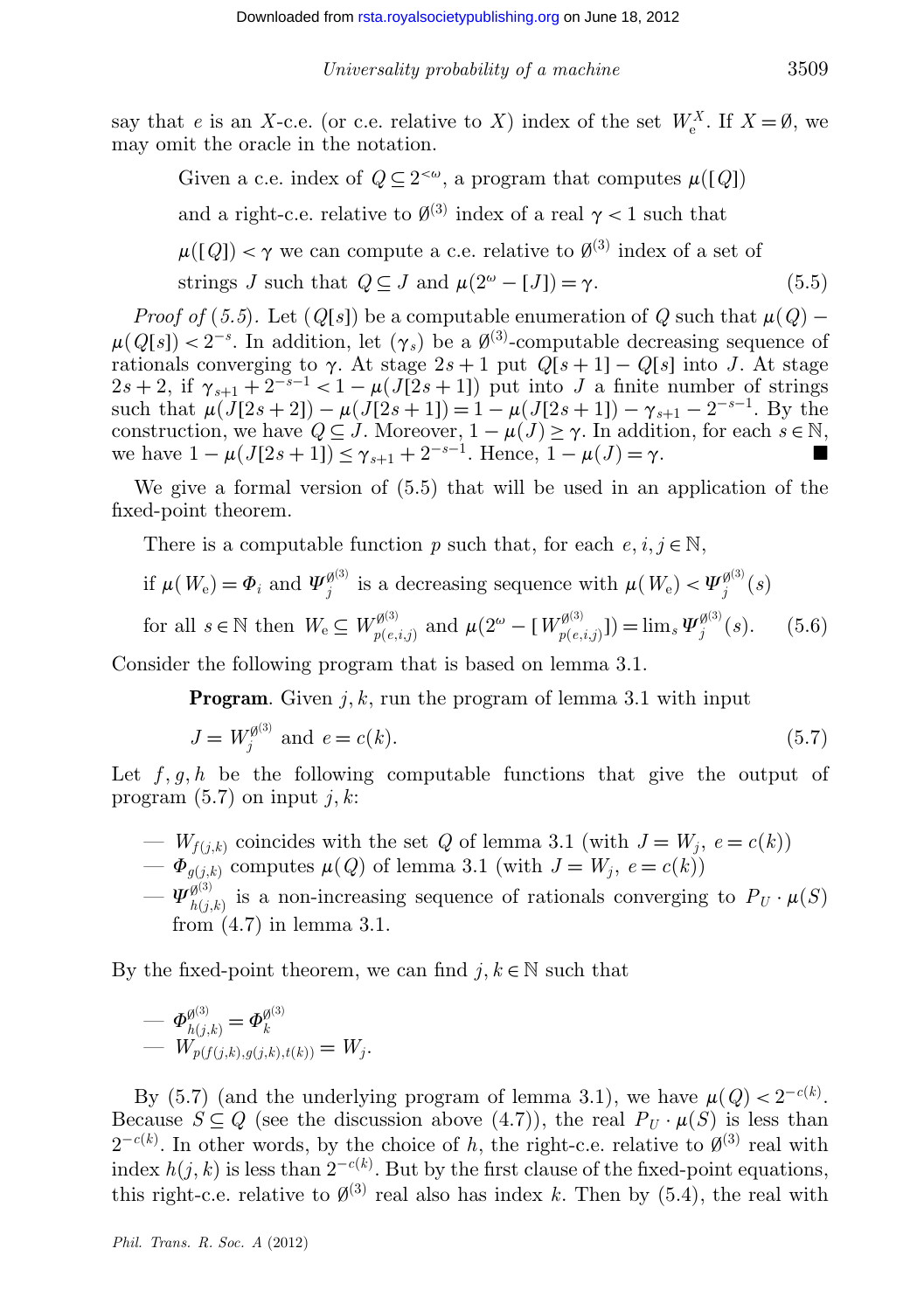say that *e* is an *X*-c.e. (or c.e. relative to *X*) index of the set  $W_e^X$ . If  $X = \emptyset$ , we may omit the oracle in the notation.

Given a c.e. index of  $Q \subseteq 2^{<\omega}$ , a program that computes  $\mu([Q])$ and a right-c.e. relative to  $\emptyset^{(3)}$  index of a real  $\gamma < 1$  such that  $\mu([Q]) < \gamma$  we can compute a c.e. relative to  $\emptyset^{(3)}$  index of a set of strings *J* such that  $Q \subseteq J$  and  $\mu(2^{\omega} - [J]) = \gamma$ . (5.5)

*Proof of* (5.5). Let  $(Q[s])$  be a computable enumeration of  $Q$  such that  $\mu(Q)$  −  $\mu(Q[s]) < 2^{-s}$ . In addition, let  $(\gamma_s)$  be a  $\emptyset^{(3)}$ -computable decreasing sequence of rationals converging to  $\gamma$ . At stage  $2s + 1$  put  $Q[s + 1] - Q[s]$  into *J*. At stage  $2s + 2$ , if  $\gamma_{s+1} + 2^{-s-1} < 1 - \mu(\bar{J(2s+1)})$  put into *J* a finite number of strings such that  $\mu(J[2s+2]) - \mu(J[2s+1]) = 1 - \mu(J[2s+1]) - \gamma_{s+1} - 2^{-s-1}$ . By the construction, we have  $Q \subseteq J$ . Moreover,  $1 - \mu(J) \ge \gamma$ . In addition, for each  $s \in \mathbb{N}$ , we have  $1 - \mu(J[2s+1]) \leq \gamma_{s+1} + 2^{-s-1}$ . Hence,  $1 - \mu(J) = \gamma$ .

We give a formal version of (5.5) that will be used in an application of the fixed-point theorem.

There is a computable function *p* such that, for each  $e, i, j \in \mathbb{N}$ ,

if 
$$
\mu(W_e) = \Phi_i
$$
 and  $\Psi_j^{\emptyset^{(3)}}$  is a decreasing sequence with  $\mu(W_e) < \Psi_j^{\emptyset^{(3)}}(s)$ 

for all 
$$
s \in \mathbb{N}
$$
 then  $W_e \subseteq W_{p(e,i,j)}^{\emptyset^{(3)}}$  and  $\mu(2^{\omega} - [W_{p(e,i,j)}^{\emptyset^{(3)}}]) = \lim_s \Psi_j^{\emptyset^{(3)}}(s)$ . (5.6)

Consider the following program that is based on lemma 3.1.

**Program**. Given *j*, *k*, run the program of lemma 3.1 with input

$$
J = W_j^{\emptyset^{(3)}} \text{ and } e = c(k). \tag{5.7}
$$

Let  $f, q, h$  be the following computable functions that give the output of program  $(5.7)$  on input  $j, k$ :

- $W_{f(j,k)}$  coincides with the set *Q* of lemma 3.1 (with  $J = W_j$ ,  $e = c(k)$ )
- $-\Phi_{q(j,k)}$  computes  $\mu(Q)$  of lemma 3.1 (with  $J = W_j$ ,  $e = c(k)$ )
- $-\Psi_{h(j,k)}^{g(3)}$  is a non-increasing sequence of rationals converging to  $P_U \cdot \mu(S)$ from (4.7) in lemma 3.1.

By the fixed-point theorem, we can find  $j, k \in \mathbb{N}$  such that

$$
- \Phi_{h(j,k)}^{\emptyset^{(3)}} = \Phi_k^{\emptyset^{(3)}} - W_{p(f(j,k),g(j,k),t(k))} = W_j.
$$

By (5.7) (and the underlying program of lemma 3.1), we have  $\mu(Q) < 2^{-c(k)}$ . Because  $S \subseteq Q$  (see the discussion above (4.7)), the real  $P_U \cdot \mu(S)$  is less than  $2^{-c(k)}$ . In other words, by the choice of *h*, the right-c.e. relative to  $\emptyset^{(3)}$  real with index  $h(j, k)$  is less than  $2^{-c(k)}$ . But by the first clause of the fixed-point equations, this right-c.e. relative to  $\emptyset^{(3)}$  real also has index *k*. Then by (5.4), the real with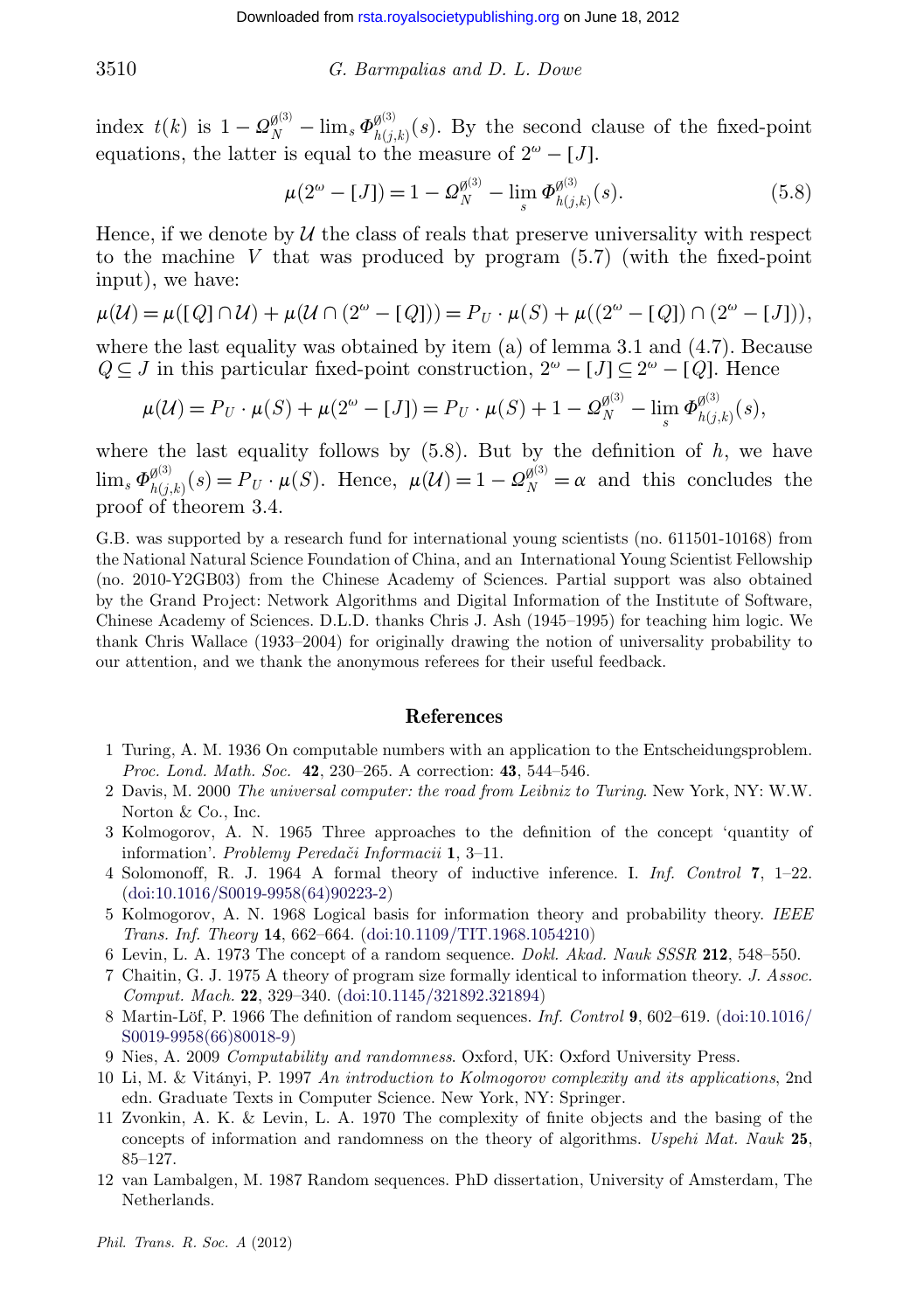index  $t(k)$  is  $1 - \Omega_N^{\emptyset^{(3)}} - \lim_s \Phi_{h(j,k)}^{\emptyset^{(3)}}(s)$ . By the second clause of the fixed-point equations, the latter is equal to the measure of  $2^{\omega} - [J]$ .

$$
\mu(2^{\omega} - [J]) = 1 - \Omega_N^{\emptyset^{(3)}} - \lim_{s} \Phi_{h(j,k)}^{\emptyset^{(3)}}(s).
$$
\n(5.8)

Hence, if we denote by  $\mathcal U$  the class of reals that preserve universality with respect to the machine *V* that was produced by program (5.7) (with the fixed-point input), we have:

$$
\mu(\mathcal{U}) = \mu([Q] \cap \mathcal{U}) + \mu(\mathcal{U} \cap (2^{\omega} - [Q])) = P_U \cdot \mu(S) + \mu((2^{\omega} - [Q]) \cap (2^{\omega} - [J])),
$$

where the last equality was obtained by item  $(a)$  of lemma 3.1 and  $(4.7)$ . Because *Q* ⊆ *J* in this particular fixed-point construction,  $2^{\omega} - [J] \subseteq 2^{\omega} - [Q]$ . Hence

$$
\mu(\mathcal{U}) = P_U \cdot \mu(S) + \mu(2^{\omega} - [J]) = P_U \cdot \mu(S) + 1 - \Omega_N^{\emptyset^{(3)}} - \lim_s \Phi_{h(j,k)}^{\emptyset^{(3)}}(s),
$$

where the last equality follows by  $(5.8)$ . But by the definition of  $h$ , we have  $\lim_{s} \Phi_{h(j,k)}^{g^{(3)}}(s) = P_U \cdot \mu(S)$ . Hence,  $\mu(\mathcal{U}) = 1 - \Omega_N^{g^{(3)}} = \alpha$  and this concludes the proof of theorem 3.4.

G.B. was supported by a research fund for international young scientists (no. 611501-10168) from the National Natural Science Foundation of China, and an International Young Scientist Fellowship (no. 2010-Y2GB03) from the Chinese Academy of Sciences. Partial support was also obtained by the Grand Project: Network Algorithms and Digital Information of the Institute of Software, Chinese Academy of Sciences. D.L.D. thanks Chris J. Ash (1945–1995) for teaching him logic. We thank Chris Wallace (1933–2004) for originally drawing the notion of universality probability to our attention, and we thank the anonymous referees for their useful feedback.

#### **References**

- 1 Turing, A. M. 1936 On computable numbers with an application to the Entscheidungsproblem. *Proc. Lond. Math. Soc.* **42**, 230–265. A correction: **43**, 544–546.
- 2 Davis, M. 2000 *The universal computer: the road from Leibniz to Turing*. New York, NY: W.W. Norton & Co., Inc.
- 3 Kolmogorov, A. N. 1965 Three approaches to the definition of the concept 'quantity of information'. *Problemy Peredaˇci Informacii* **1**, 3–11.
- 4 Solomonoff, R. J. 1964 A formal theory of inductive inference. I. *Inf. Control* **7**, 1–22. [\(doi:10.1016/S0019-9958\(64\)90223-2\)](http://dx.doi.org/doi:10.1016/S0019-9958(64)90223-2)
- 5 Kolmogorov, A. N. 1968 Logical basis for information theory and probability theory. *IEEE Trans. Inf. Theory* **14**, 662–664. [\(doi:10.1109/TIT.1968.1054210\)](http://dx.doi.org/doi:10.1109/TIT.1968.1054210)
- 6 Levin, L. A. 1973 The concept of a random sequence. *Dokl. Akad. Nauk SSSR* **212**, 548–550.
- 7 Chaitin, G. J. 1975 A theory of program size formally identical to information theory. *J. Assoc. Comput. Mach.* **22**, 329–340. [\(doi:10.1145/321892.321894\)](http://dx.doi.org/doi:10.1145/321892.321894)
- 8 Martin-Löf, P. 1966 The definition of random sequences. *Inf. Control* **9**, 602–619. [\(doi:10.1016/](http://dx.doi.org/doi:10.1016/S0019-9958(66)80018-9) [S0019-9958\(66\)80018-9\)](http://dx.doi.org/doi:10.1016/S0019-9958(66)80018-9)
- 9 Nies, A. 2009 *Computability and randomness*. Oxford, UK: Oxford University Press.
- 10 Li, M. & Vitányi, P. 1997 *An introduction to Kolmogorov complexity and its applications*, 2nd edn. Graduate Texts in Computer Science. New York, NY: Springer.
- 11 Zvonkin, A. K. & Levin, L. A. 1970 The complexity of finite objects and the basing of the concepts of information and randomness on the theory of algorithms. *Uspehi Mat. Nauk* **25**, 85–127.
- 12 van Lambalgen, M. 1987 Random sequences. PhD dissertation, University of Amsterdam, The Netherlands.

<span id="page-23-0"></span>